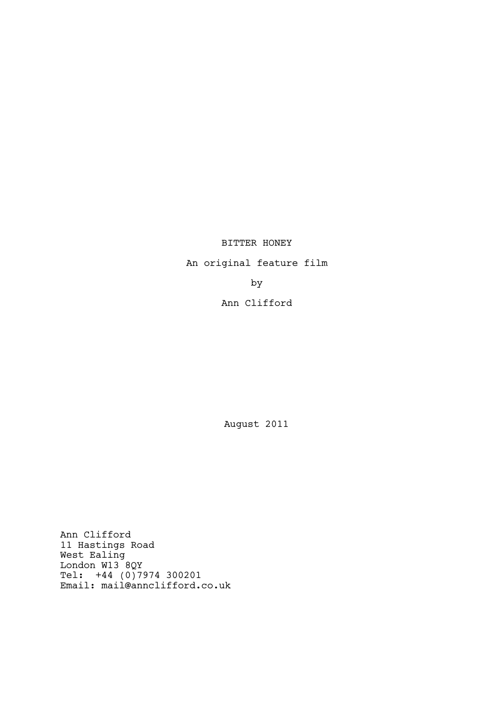# BITTER HONEY

An original feature film

by

# Ann Clifford

August 2011

Ann Clifford 11 Hastings Road West Ealing London W13 8QY Tel: +44 (0)7974 300201 Email: mail@annclifford.co.uk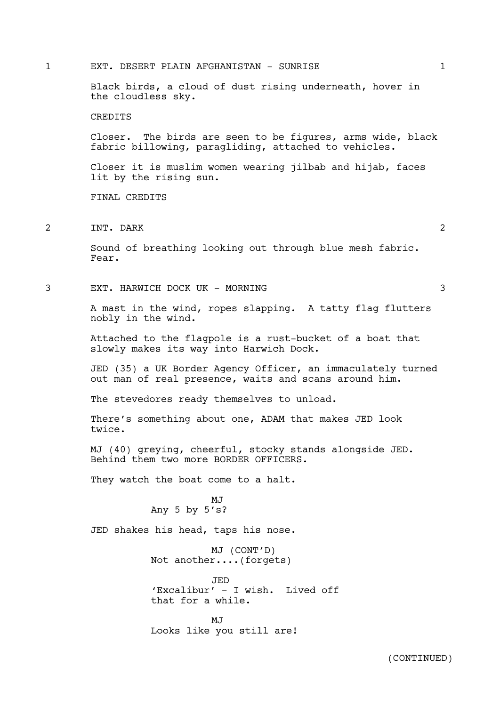1 EXT. DESERT PLAIN AFGHANISTAN - SUNRISE 1

Black birds, a cloud of dust rising underneath, hover in the cloudless sky. CREDITS

Closer. The birds are seen to be figures, arms wide, black fabric billowing, paragliding, attached to vehicles.

Closer it is muslim women wearing jilbab and hijab, faces lit by the rising sun.

FINAL CREDITS

2 INT. DARK 2

Sound of breathing looking out through blue mesh fabric. Fear.

3 EXT. HARWICH DOCK UK - MORNING 3

A mast in the wind, ropes slapping. A tatty flag flutters nobly in the wind.

Attached to the flagpole is a rust-bucket of a boat that slowly makes its way into Harwich Dock.

JED (35) a UK Border Agency Officer, an immaculately turned out man of real presence, waits and scans around him.

The stevedores ready themselves to unload.

There's something about one, ADAM that makes JED look twice.

MJ (40) greying, cheerful, stocky stands alongside JED. Behind them two more BORDER OFFICERS.

They watch the boat come to a halt.

M.T Any 5 by 5's?

JED shakes his head, taps his nose.

MJ (CONT'D) Not another....(forgets)

JED 'Excalibur' - I wish. Lived off that for a while.

 $M<sub>T</sub>$ Looks like you still are!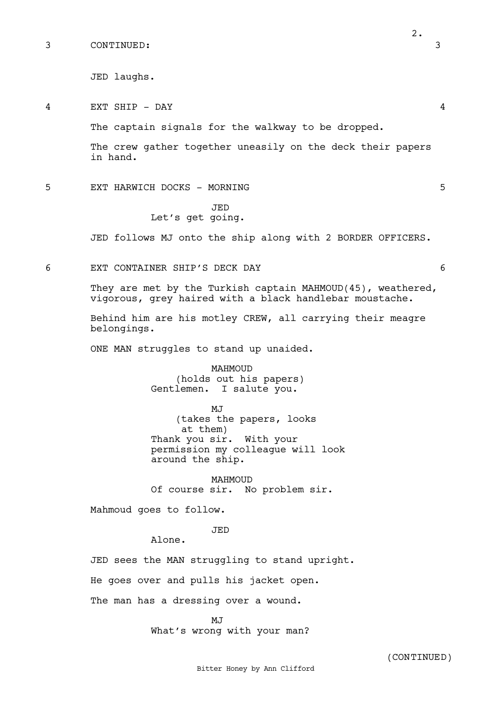JED laughs.

4 EXT SHIP - DAY 4

The captain signals for the walkway to be dropped.

The crew gather together uneasily on the deck their papers in hand.

5 EXT HARWICH DOCKS - MORNING 5

# JED Let's get going.

JED follows MJ onto the ship along with 2 BORDER OFFICERS.

6 EXT CONTAINER SHIP'S DECK DAY 6

They are met by the Turkish captain MAHMOUD(45), weathered, vigorous, grey haired with a black handlebar moustache.

Behind him are his motley CREW, all carrying their meagre belongings.

ONE MAN struggles to stand up unaided.

MAHMOUD (holds out his papers) Gentlemen. I salute you.

MJ (takes the papers, looks at them) Thank you sir. With your permission my colleague will look around the ship.

MAHMOUD Of course sir. No problem sir.

Mahmoud goes to follow.

JED

Alone.

JED sees the MAN struggling to stand upright.

He goes over and pulls his jacket open.

The man has a dressing over a wound.

MJ What's wrong with your man?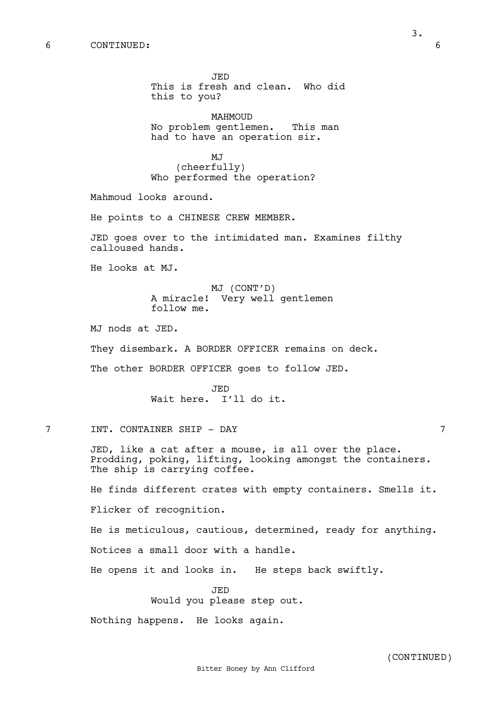JED This is fresh and clean. Who did this to you? MAHMOUD No problem gentlemen. This man had to have an operation sir. MJ (cheerfully) Who performed the operation? Mahmoud looks around. He points to a CHINESE CREW MEMBER. JED goes over to the intimidated man. Examines filthy calloused hands. He looks at MJ. MJ (CONT'D) A miracle! Very well gentlemen follow me. MJ nods at JED. They disembark. A BORDER OFFICER remains on deck. The other BORDER OFFICER goes to follow JED. JED Wait here. I'll do it. 7 INT. CONTAINER SHIP - DAY 7 JED, like a cat after a mouse, is all over the place. Prodding, poking, lifting, looking amongst the containers. The ship is carrying coffee. He finds different crates with empty containers. Smells it. Flicker of recognition. He is meticulous, cautious, determined, ready for anything. Notices a small door with a handle. He opens it and looks in. He steps back swiftly. JED Would you please step out. Nothing happens. He looks again.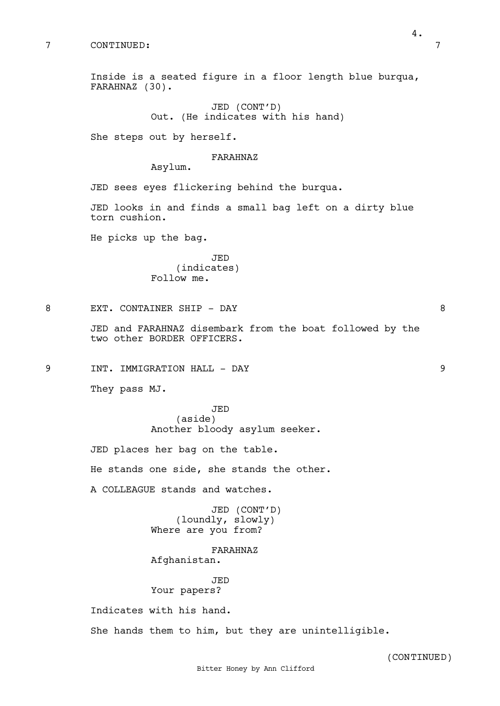She steps out by herself.

#### FARAHNAZ

Asylum.

JED sees eyes flickering behind the burqua.

JED looks in and finds a small bag left on a dirty blue torn cushion.

He picks up the bag.

JED (indicates) Follow me.

8 EXT. CONTAINER SHIP - DAY 8

JED and FARAHNAZ disembark from the boat followed by the two other BORDER OFFICERS.

9 INT. IMMIGRATION HALL - DAY 9

They pass MJ.

JED (aside) Another bloody asylum seeker.

JED places her bag on the table.

He stands one side, she stands the other.

A COLLEAGUE stands and watches.

JED (CONT'D) (loundly, slowly) Where are you from?

FARAHNAZ Afghanistan.

JED Your papers?

Indicates with his hand.

She hands them to him, but they are unintelligible.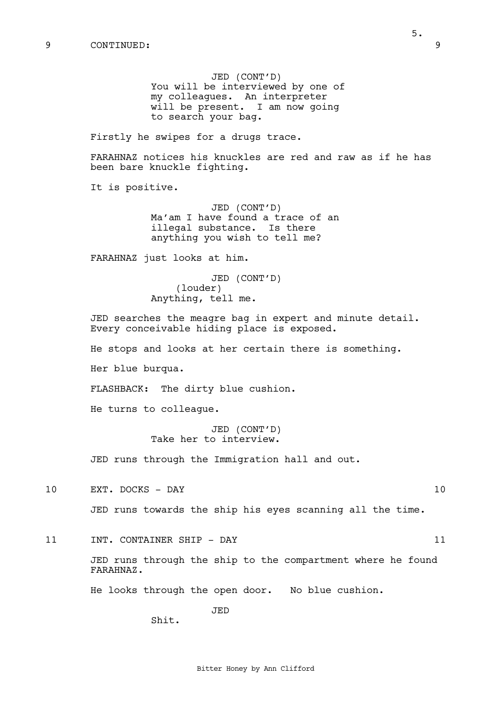JED (CONT'D) You will be interviewed by one of my colleagues. An interpreter will be present. I am now going to search your bag.

Firstly he swipes for a drugs trace.

FARAHNAZ notices his knuckles are red and raw as if he has been bare knuckle fighting.

It is positive.

JED (CONT'D) Ma'am I have found a trace of an illegal substance. Is there anything you wish to tell me?

FARAHNAZ just looks at him.

JED (CONT'D) (louder) Anything, tell me.

JED searches the meagre bag in expert and minute detail. Every conceivable hiding place is exposed.

He stops and looks at her certain there is something.

Her blue burqua.

FLASHBACK: The dirty blue cushion.

He turns to colleague.

JED (CONT'D) Take her to interview.

JED runs through the Immigration hall and out.

10 EXT. DOCKS - DAY 10

JED runs towards the ship his eyes scanning all the time.

11 INT. CONTAINER SHIP - DAY 11

JED runs through the ship to the compartment where he found FARAHNAZ.

He looks through the open door. No blue cushion.

JED

Shit.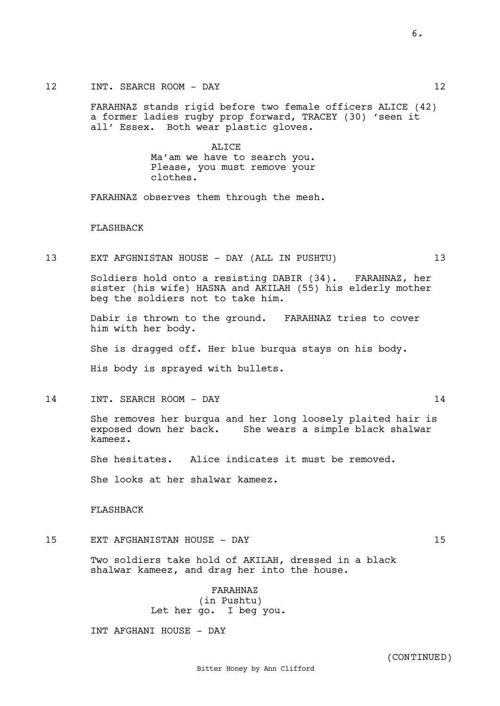FARAHNAZ stands rigid before two female officers ALICE (42) a former ladies rugby prop forward, TRACEY (30) 'seen it all' Essex. Both wear plastic gloves.

> ALICE Ma'am we have to search you. Please, you must remove your clothes.

FARAHNAZ observes them through the mesh.

#### FLASHBACK

13 EXT AFGHNISTAN HOUSE - DAY (ALL IN PUSHTU) 13

Soldiers hold onto a resisting DABIR (34). FARAHNAZ, her sister (his wife) HASNA and AKILAH (55) his elderly mother beg the soldiers not to take him.

Dabir is thrown to the ground. FARAHNAZ tries to cover him with her body.

She is dragged off. Her blue burqua stays on his body.

His body is sprayed with bullets.

14 INT. SEARCH ROOM - DAY 14

She removes her burqua and her long loosely plaited hair is exposed down her back. She wears a simple black shalwar kameez.

She hesitates. Alice indicates it must be removed.

She looks at her shalwar kameez.

FLASHBACK

15 EXT AFGHANISTAN HOUSE - DAY 15

Two soldiers take hold of AKILAH, dressed in a black shalwar kameez, and drag her into the house.

> FARAHNAZ (in Pushtu) Let her go. I beg you.

INT AFGHANI HOUSE - DAY

6.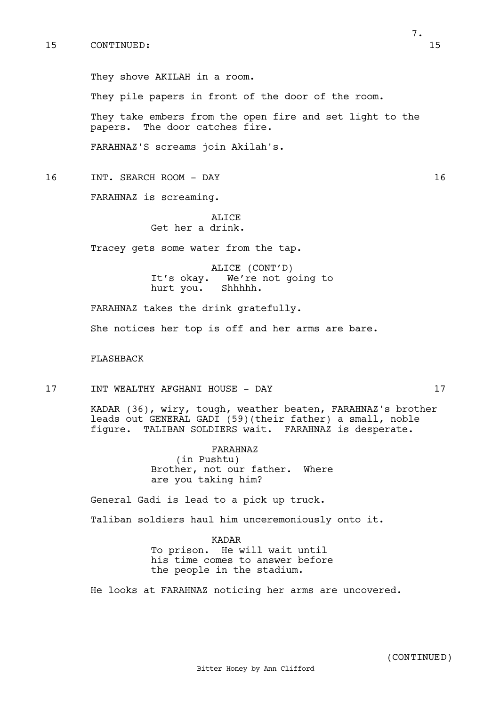They shove AKILAH in a room.

They pile papers in front of the door of the room.

They take embers from the open fire and set light to the papers. The door catches fire.

FARAHNAZ'S screams join Akilah's.

- 16 INT. SEARCH ROOM DAY 16
	- FARAHNAZ is screaming.

ALICE Get her a drink.

Tracey gets some water from the tap.

ALICE (CONT'D) It's okay. We're not going to<br>hurt you. Shhhhh. hurt you.

FARAHNAZ takes the drink gratefully.

She notices her top is off and her arms are bare.

### FLASHBACK

17 INT WEALTHY AFGHANI HOUSE - DAY 17

KADAR (36), wiry, tough, weather beaten, FARAHNAZ's brother leads out GENERAL GADI (59)(their father) a small, noble figure. TALIBAN SOLDIERS wait. FARAHNAZ is desperate.

> FARAHNAZ (in Pushtu) Brother, not our father. Where are you taking him?

General Gadi is lead to a pick up truck.

Taliban soldiers haul him unceremoniously onto it.

KADAR To prison. He will wait until his time comes to answer before the people in the stadium.

He looks at FARAHNAZ noticing her arms are uncovered.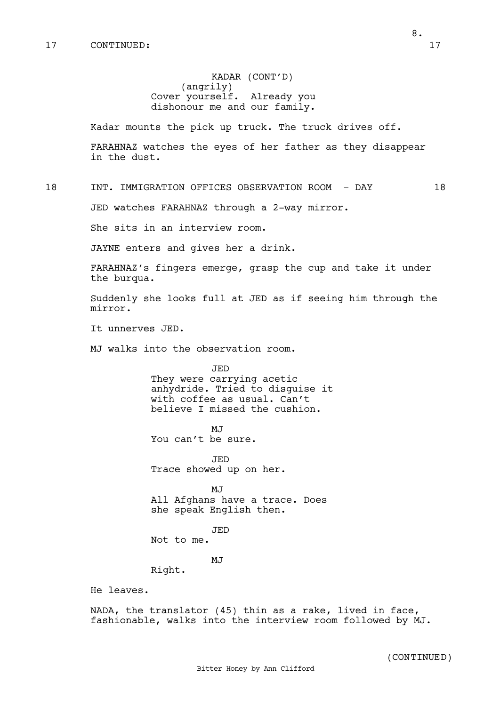# KADAR (CONT'D) (angrily) Cover yourself. Already you dishonour me and our family.

Kadar mounts the pick up truck. The truck drives off.

FARAHNAZ watches the eyes of her father as they disappear in the dust.

18 INT. IMMIGRATION OFFICES OBSERVATION ROOM - DAY 18

JED watches FARAHNAZ through a 2-way mirror.

She sits in an interview room.

JAYNE enters and gives her a drink.

FARAHNAZ's fingers emerge, grasp the cup and take it under the burqua.

Suddenly she looks full at JED as if seeing him through the mirror.

It unnerves JED.

MJ walks into the observation room.

JED They were carrying acetic anhydride. Tried to disguise it with coffee as usual. Can't believe I missed the cushion.

M<sub>J</sub> You can't be sure.

JED Trace showed up on her.

MJ All Afghans have a trace. Does she speak English then.

JED Not to me.

MJ

Right.

He leaves.

NADA, the translator (45) thin as a rake, lived in face, fashionable, walks into the interview room followed by MJ.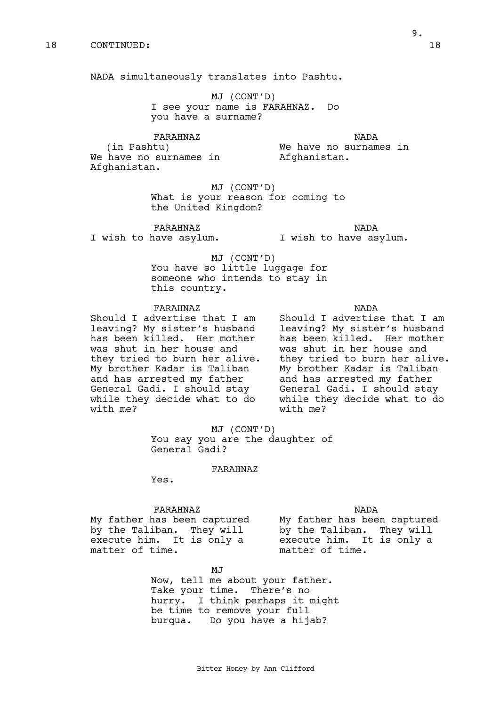NADA simultaneously translates into Pashtu.

MJ (CONT'D) I see your name is FARAHNAZ. Do you have a surname?

FARAHNAZ

We have no surnames in

NADA

We have no surnames in Afghanistan.

MJ (CONT'D) What is your reason for coming to the United Kingdom?

FARAHNAZ I wish to have asylum.

(in Pashtu)

Afghanistan.

NADA I wish to have asylum.

MJ (CONT'D) You have so little luggage for someone who intends to stay in this country.

FARAHNAZ

Should I advertise that I am leaving? My sister's husband has been killed. Her mother was shut in her house and they tried to burn her alive. My brother Kadar is Taliban and has arrested my father General Gadi. I should stay while they decide what to do with me?

NADA Should I advertise that I am leaving? My sister's husband has been killed. Her mother was shut in her house and they tried to burn her alive. My brother Kadar is Taliban and has arrested my father General Gadi. I should stay while they decide what to do with me?

MJ (CONT'D) You say you are the daughter of General Gadi?

# FARAHNAZ

Yes.

#### FARAHNAZ

My father has been captured by the Taliban. They will execute him. It is only a matter of time.

NADA My father has been captured by the Taliban. They will execute him. It is only a matter of time.

MJ

Now, tell me about your father. Take your time. There's no hurry. I think perhaps it might be time to remove your full burqua. Do you have a hijab?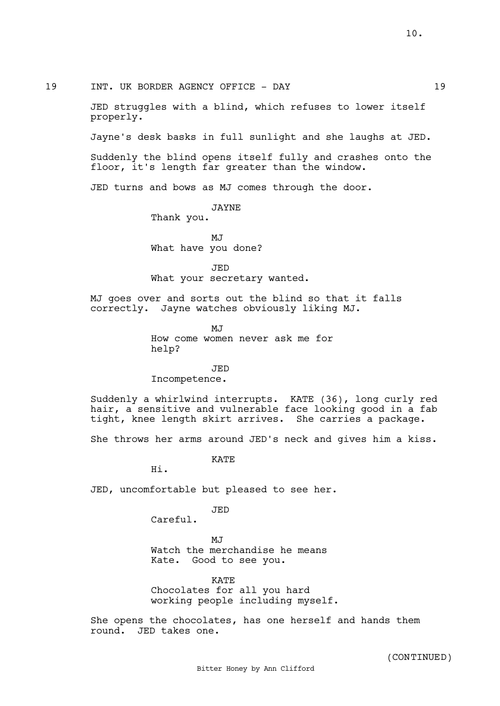19 INT. UK BORDER AGENCY OFFICE - DAY 19

JED struggles with a blind, which refuses to lower itself properly.

Jayne's desk basks in full sunlight and she laughs at JED.

Suddenly the blind opens itself fully and crashes onto the floor, it's length far greater than the window.

JED turns and bows as MJ comes through the door.

JAYNE Thank you.

MJ What have you done?

JED What your secretary wanted.

MJ goes over and sorts out the blind so that it falls correctly. Jayne watches obviously liking MJ.

> M.T How come women never ask me for help?

JED Incompetence.

Suddenly a whirlwind interrupts. KATE (36), long curly red hair, a sensitive and vulnerable face looking good in a fab tight, knee length skirt arrives. She carries a package.

She throws her arms around JED's neck and gives him a kiss.

**KATE** 

Hi.

JED, uncomfortable but pleased to see her.

JED

Careful.

 $M.T$ Watch the merchandise he means Kate. Good to see you.

KATE Chocolates for all you hard working people including myself.

She opens the chocolates, has one herself and hands them round. JED takes one.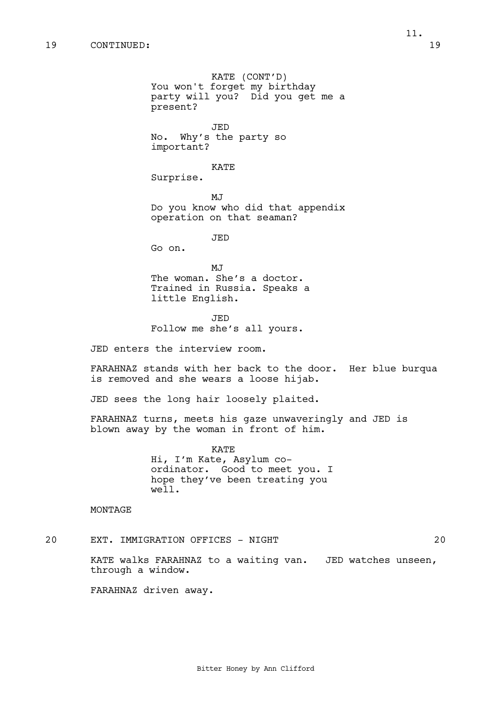KATE (CONT'D) You won't forget my birthday party will you? Did you get me a present? JED No. Why's the party so important? KATE Surprise. MJ Do you know who did that appendix operation on that seaman? JED Go on. MJ The woman. She's a doctor. Trained in Russia. Speaks a little English. JED Follow me she's all yours. JED enters the interview room.

FARAHNAZ stands with her back to the door. Her blue burqua is removed and she wears a loose hijab.

JED sees the long hair loosely plaited.

FARAHNAZ turns, meets his gaze unwaveringly and JED is blown away by the woman in front of him.

> KATE Hi, I'm Kate, Asylum coordinator. Good to meet you. I hope they've been treating you well.

MONTAGE

20 EXT. IMMIGRATION OFFICES - NIGHT 20

KATE walks FARAHNAZ to a waiting van. JED watches unseen, through a window.

FARAHNAZ driven away.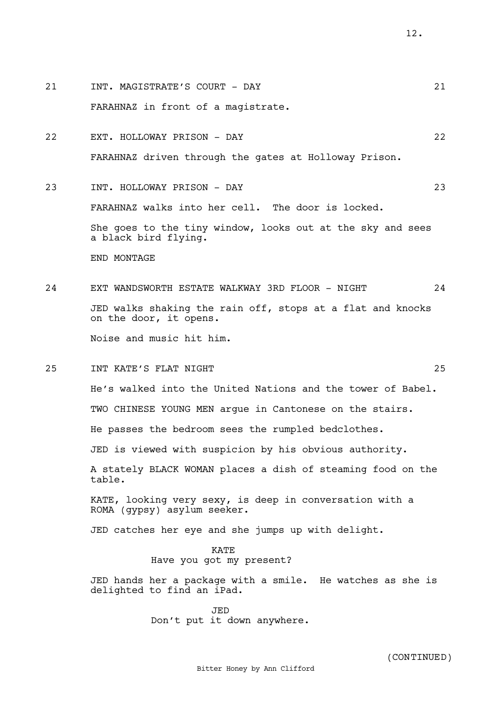FARAHNAZ in front of a magistrate. 22 EXT. HOLLOWAY PRISON - DAY 22 FARAHNAZ driven through the gates at Holloway Prison. 23 INT. HOLLOWAY PRISON - DAY 23 FARAHNAZ walks into her cell. The door is locked. She goes to the tiny window, looks out at the sky and sees a black bird flying. END MONTAGE 24 EXT WANDSWORTH ESTATE WALKWAY 3RD FLOOR - NIGHT 24 JED walks shaking the rain off, stops at a flat and knocks on the door, it opens. Noise and music hit him. 25 INT KATE'S FLAT NIGHT 25 He's walked into the United Nations and the tower of Babel. TWO CHINESE YOUNG MEN argue in Cantonese on the stairs. He passes the bedroom sees the rumpled bedclothes. JED is viewed with suspicion by his obvious authority. A stately BLACK WOMAN places a dish of steaming food on the table. KATE, looking very sexy, is deep in conversation with a ROMA (gypsy) asylum seeker. JED catches her eye and she jumps up with delight. KATE Have you got my present? JED hands her a package with a smile. He watches as she is delighted to find an iPad. JED Don't put it down anywhere.

21 INT. MAGISTRATE'S COURT - DAY 21

# 12.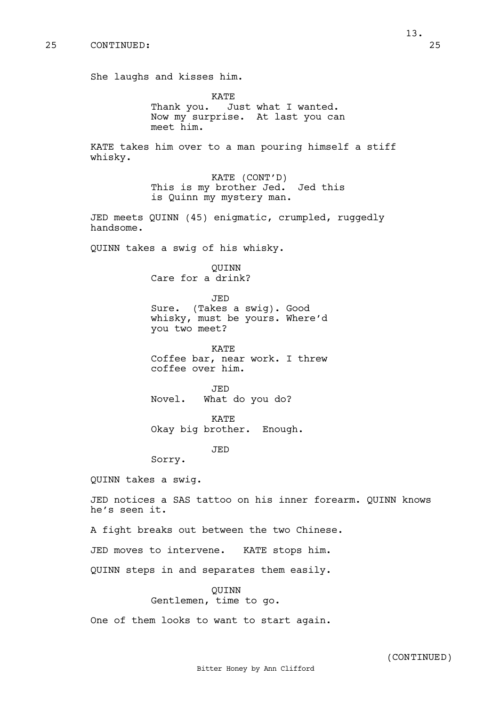She laughs and kisses him.

**KATE** Thank you. Just what I wanted. Now my surprise. At last you can meet him.

KATE takes him over to a man pouring himself a stiff whisky.

> KATE (CONT'D) This is my brother Jed. Jed this is Quinn my mystery man.

JED meets QUINN (45) enigmatic, crumpled, ruggedly handsome.

QUINN takes a swig of his whisky.

QUINN Care for a drink?

JED Sure. (Takes a swig). Good whisky, must be yours. Where'd you two meet?

KATE Coffee bar, near work. I threw coffee over him.

JED Novel. What do you do?

KATE Okay big brother. Enough.

JED

Sorry.

QUINN takes a swig.

JED notices a SAS tattoo on his inner forearm. QUINN knows he's seen it.

A fight breaks out between the two Chinese.

JED moves to intervene. KATE stops him.

QUINN steps in and separates them easily.

QUINN

Gentlemen, time to go.

One of them looks to want to start again.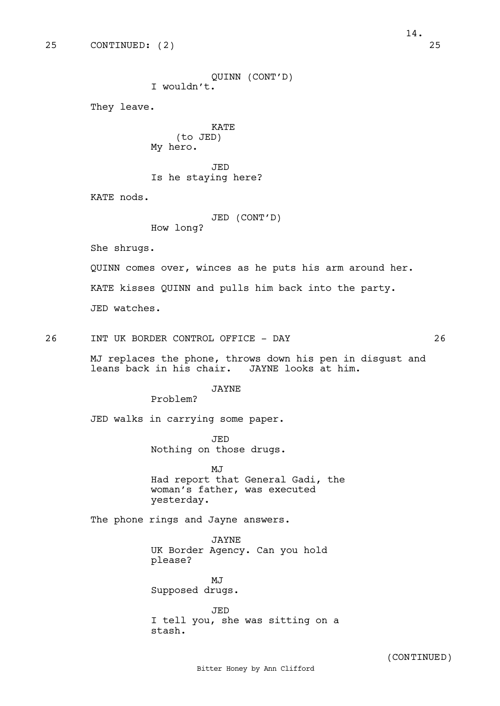```
QUINN (CONT'D)
                  I wouldn't.
       They leave.
                            KATE
                      (to JED)
                  My hero.
                            JED
                  Is he staying here?
       KATE nods.
                            JED (CONT'D)
                  How long?
       She shrugs. 
       QUINN comes over, winces as he puts his arm around her.
       KATE kisses QUINN and pulls him back into the party.
       JED watches.
26 INT UK BORDER CONTROL OFFICE - DAY 26
       MJ replaces the phone, throws down his pen in disgust and 
       leans back in his chair. JAYNE looks at him.
                            JAYNE
                  Problem?
       JED walks in carrying some paper.
                            JED
                  Nothing on those drugs. 
                            MJ
                  Had report that General Gadi, the 
                  woman's father, was executed 
                  yesterday. 
       The phone rings and Jayne answers.
                            JAYNE
                  UK Border Agency. Can you hold 
                  please?
                            MJ
                  Supposed drugs.
                            JED
                  I tell you, she was sitting on a 
                  stash.
                         Bitter Honey by Ann Clifford 
                                                          (CONTINUED)
```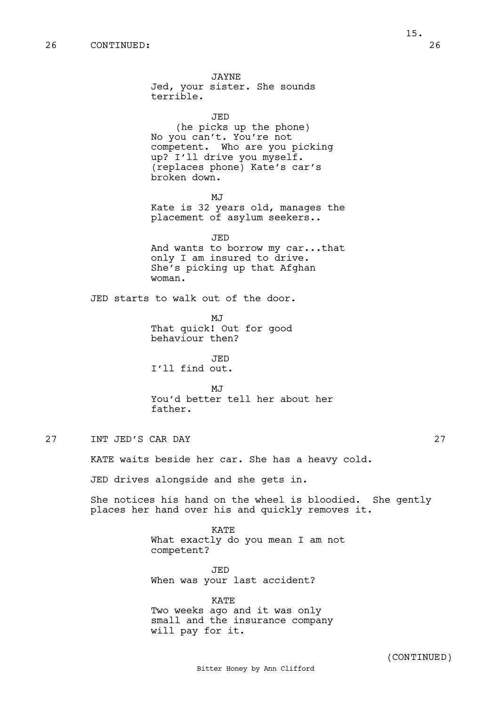JAYNE Jed, your sister. She sounds terrible. JED (he picks up the phone) No you can't. You're not competent. Who are you picking up? I'll drive you myself. (replaces phone) Kate's car's broken down. **MJ** Kate is 32 years old, manages the placement of asylum seekers.. JED And wants to borrow my car...that only I am insured to drive. She's picking up that Afghan woman. JED starts to walk out of the door. MJ That quick! Out for good behaviour then? JED I'll find out. **MJ** You'd better tell her about her father. 27 INT JED'S CAR DAY 27 KATE waits beside her car. She has a heavy cold. JED drives alongside and she gets in. She notices his hand on the wheel is bloodied. She gently places her hand over his and quickly removes it. KATE What exactly do you mean I am not competent? JED When was your last accident?

> KATE Two weeks ago and it was only small and the insurance company will pay for it.

Bitter Honey by Ann Clifford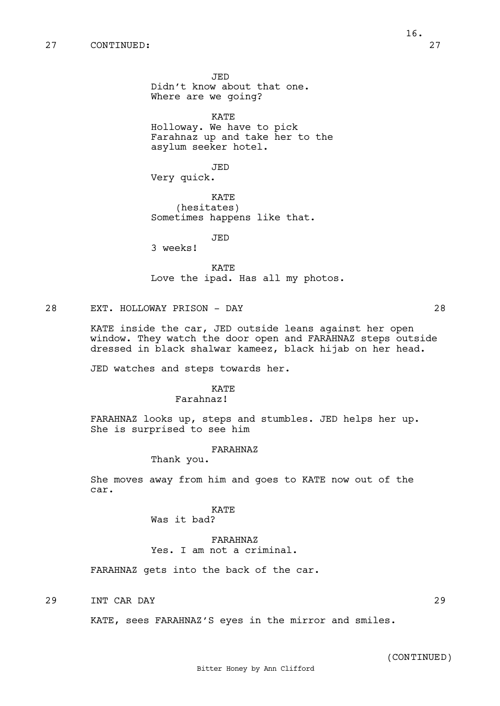JED Didn't know about that one. Where are we going?

KATE

Holloway. We have to pick Farahnaz up and take her to the asylum seeker hotel.

JED

Very quick.

KATE (hesitates) Sometimes happens like that.

JED

3 weeks!

KATE Love the ipad. Has all my photos.

### 28 EXT. HOLLOWAY PRISON - DAY 28

KATE inside the car, JED outside leans against her open window. They watch the door open and FARAHNAZ steps outside dressed in black shalwar kameez, black hijab on her head.

JED watches and steps towards her.

# **KATE**

### Farahnaz!

FARAHNAZ looks up, steps and stumbles. JED helps her up. She is surprised to see him

#### FARAHNAZ

Thank you.

She moves away from him and goes to KATE now out of the car.

# KATE

Was it bad?

# FARAHNAZ Yes. I am not a criminal.

FARAHNAZ gets into the back of the car.

29 INT CAR DAY 29

KATE, sees FARAHNAZ'S eyes in the mirror and smiles.

(CONTINUED)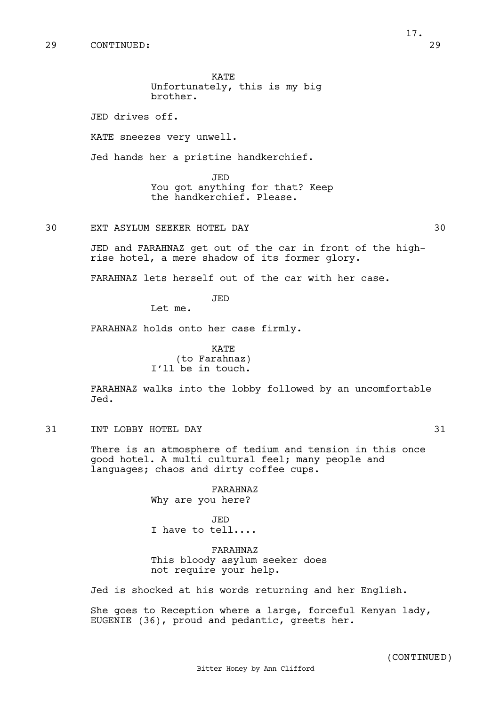17.

KATE Unfortunately, this is my big brother.

JED drives off.

KATE sneezes very unwell.

Jed hands her a pristine handkerchief.

JED You got anything for that? Keep the handkerchief. Please.

30 EXT ASYLUM SEEKER HOTEL DAY 30

JED and FARAHNAZ get out of the car in front of the highrise hotel, a mere shadow of its former glory.

FARAHNAZ lets herself out of the car with her case.

JED

Let me.

FARAHNAZ holds onto her case firmly.

KATE (to Farahnaz) I'll be in touch.

FARAHNAZ walks into the lobby followed by an uncomfortable Jed.

31 INT LOBBY HOTEL DAY 31

There is an atmosphere of tedium and tension in this once good hotel. A multi cultural feel; many people and languages; chaos and dirty coffee cups.

> FARAHNAZ Why are you here?

JED I have to tell....

FARAHNAZ This bloody asylum seeker does not require your help.

Jed is shocked at his words returning and her English.

She goes to Reception where a large, forceful Kenyan lady, EUGENIE (36), proud and pedantic, greets her.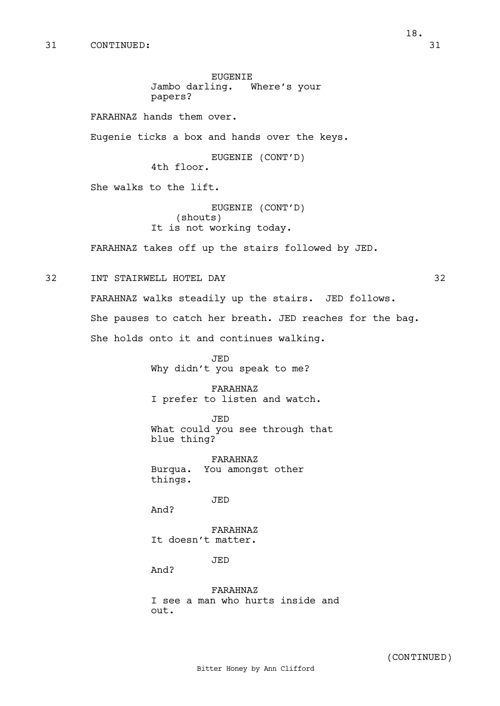EUGENIE Jambo darling. Where's your papers? FARAHNAZ hands them over. Eugenie ticks a box and hands over the keys. EUGENIE (CONT'D) 4th floor. She walks to the lift. EUGENIE (CONT'D) (shouts) It is not working today. FARAHNAZ takes off up the stairs followed by JED. 32 INT STAIRWELL HOTEL DAY 32 FARAHNAZ walks steadily up the stairs. JED follows. She pauses to catch her breath. JED reaches for the bag. She holds onto it and continues walking. JED Why didn't you speak to me? FARAHNAZ I prefer to listen and watch. JED What could you see through that blue thing? FARAHNAZ Burqua. You amongst other things. JED And? FARAHNAZ It doesn't matter. JED And?

> FARAHNAZ I see a man who hurts inside and out.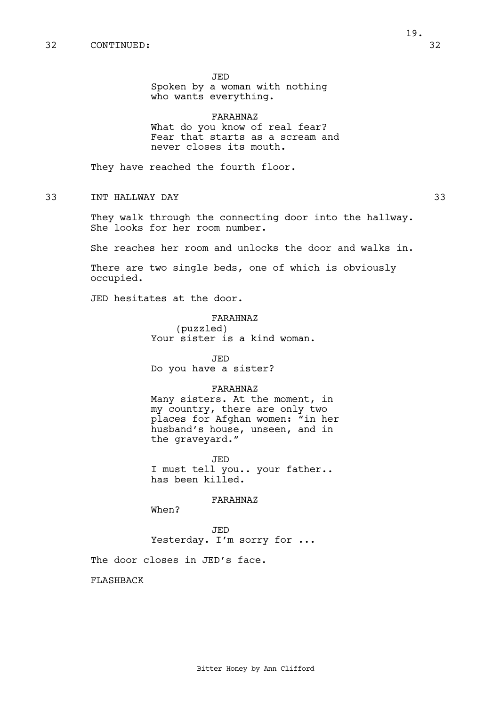JED

who wants everything.

What do you know of real fear? Fear that starts as a scream and never closes its mouth.

Spoken by a woman with nothing

FARAHNAZ

They have reached the fourth floor.

33 INT HALLWAY DAY 33

They walk through the connecting door into the hallway. She looks for her room number.

She reaches her room and unlocks the door and walks in.

There are two single beds, one of which is obviously occupied.

JED hesitates at the door.

FARAHNAZ (puzzled) Your sister is a kind woman.

JED Do you have a sister?

#### FARAHNAZ

Many sisters. At the moment, in my country, there are only two places for Afghan women: "in her husband's house, unseen, and in the graveyard."

JED I must tell you.. your father.. has been killed.

FARAHNAZ

When?

JED Yesterday. I'm sorry for ...

The door closes in JED's face.

FLASHBACK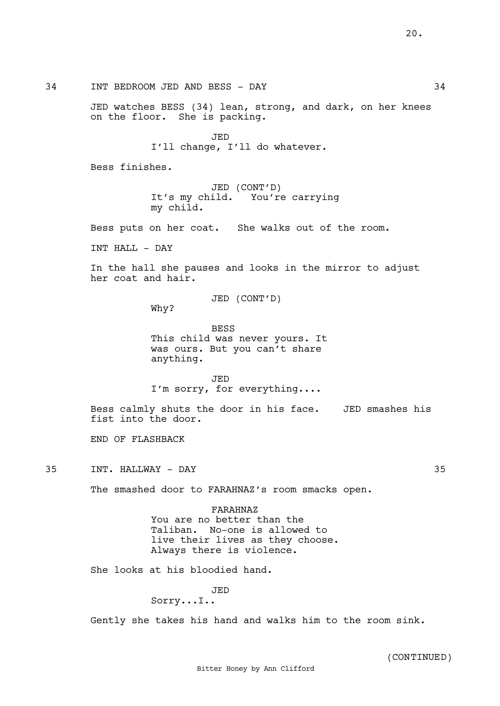34 INT BEDROOM JED AND BESS - DAY 34

JED watches BESS (34) lean, strong, and dark, on her knees on the floor. She is packing.

> JED I'll change, I'll do whatever.

Bess finishes.

JED (CONT'D) It's my child. You're carrying my child.

Bess puts on her coat. She walks out of the room.

INT HALL - DAY

In the hall she pauses and looks in the mirror to adjust her coat and hair.

JED (CONT'D)

Why?

BESS This child was never yours. It was ours. But you can't share anything.

JED I'm sorry, for everything....

Bess calmly shuts the door in his face. JED smashes his fist into the door.

END OF FLASHBACK

35 INT. HALLWAY - DAY 35

The smashed door to FARAHNAZ's room smacks open.

FARAHNAZ You are no better than the Taliban. No-one is allowed to live their lives as they choose. Always there is violence.

She looks at his bloodied hand.

JED

### Sorry...I..

Gently she takes his hand and walks him to the room sink.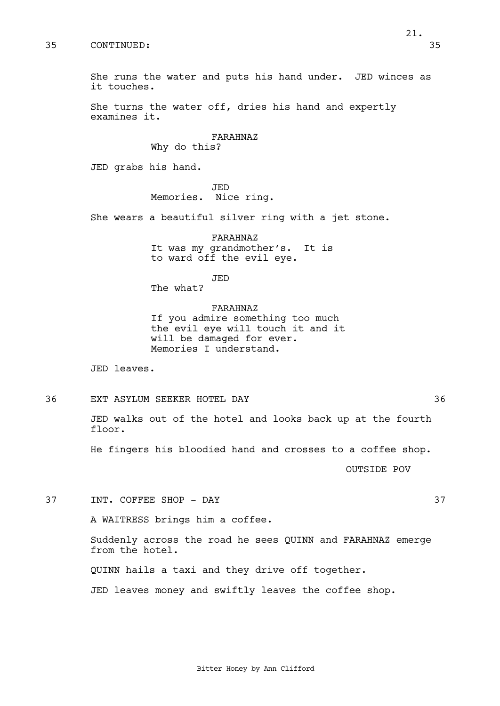21.

She runs the water and puts his hand under. JED winces as it touches.

> She turns the water off, dries his hand and expertly examines it.

> > FARAHNAZ Why do this?

JED grabs his hand.

JED Memories. Nice ring.

She wears a beautiful silver ring with a jet stone.

FARAHNAZ It was my grandmother's. It is to ward off the evil eye.

JED The what?

FARAHNAZ If you admire something too much the evil eye will touch it and it will be damaged for ever. Memories I understand.

JED leaves.

36 EXT ASYLUM SEEKER HOTEL DAY 36

JED walks out of the hotel and looks back up at the fourth floor.

He fingers his bloodied hand and crosses to a coffee shop.

OUTSIDE POV

37 INT. COFFEE SHOP - DAY 37

A WAITRESS brings him a coffee.

Suddenly across the road he sees QUINN and FARAHNAZ emerge from the hotel.

QUINN hails a taxi and they drive off together.

JED leaves money and swiftly leaves the coffee shop.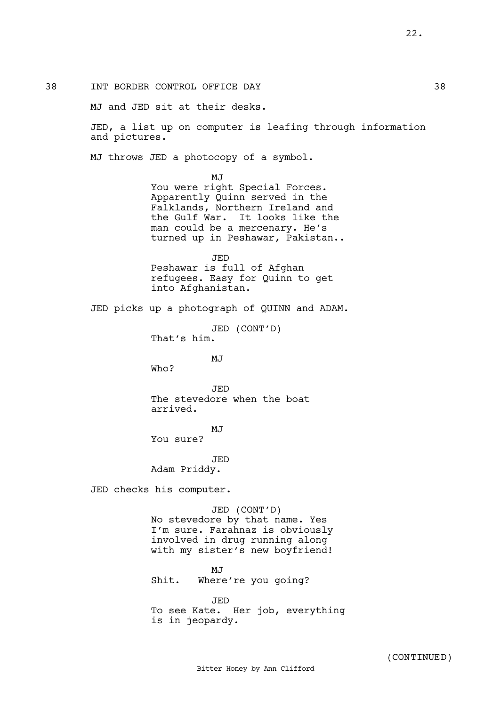38 INT BORDER CONTROL OFFICE DAY 38

MJ and JED sit at their desks.

JED, a list up on computer is leafing through information and pictures.

MJ throws JED a photocopy of a symbol.

MJ You were right Special Forces. Apparently Quinn served in the Falklands, Northern Ireland and the Gulf War. It looks like the man could be a mercenary. He's turned up in Peshawar, Pakistan..

JED Peshawar is full of Afghan refugees. Easy for Quinn to get into Afghanistan.

JED picks up a photograph of QUINN and ADAM.

JED (CONT'D) That's him.

MJ

Who?

JED The stevedore when the boat arrived.

MJ

You sure?

**JED** Adam Priddy.

JED checks his computer.

JED (CONT'D) No stevedore by that name. Yes I'm sure. Farahnaz is obviously involved in drug running along with my sister's new boyfriend!

MJ Shit. Where're you going?

JED To see Kate. Her job, everything is in jeopardy.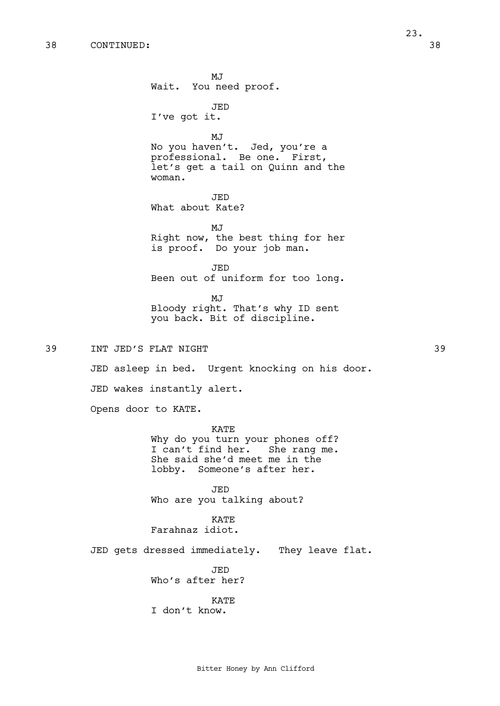MJ Wait. You need proof. JED I've got it. MJ No you haven't. Jed, you're a professional. Be one. First, let's get a tail on Quinn and the woman. JED What about Kate? MJ Right now, the best thing for her is proof. Do your job man. JED Been out of uniform for too long. MJ Bloody right. That's why ID sent you back. Bit of discipline. 39 INT JED'S FLAT NIGHT 39 JED asleep in bed. Urgent knocking on his door. JED wakes instantly alert. Opens door to KATE. KATE Why do you turn your phones off? I can't find her. She rang me. She said she'd meet me in the lobby. Someone's after her. JED Who are you talking about? KATE Farahnaz idiot. JED gets dressed immediately. They leave flat. JED Who's after her? KATE I don't know.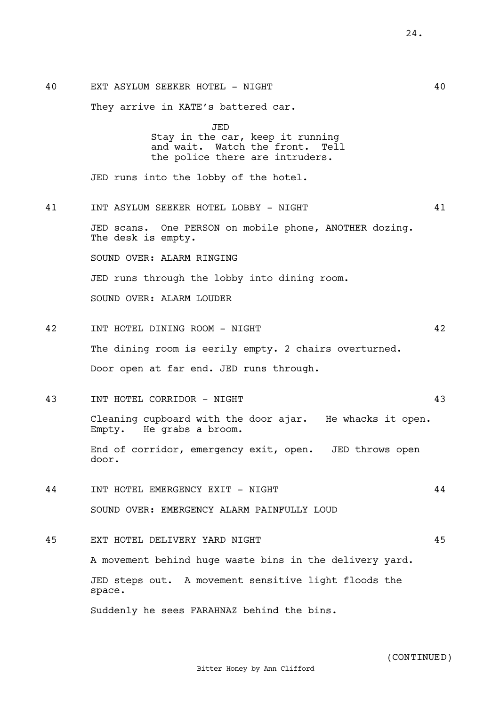40 EXT ASYLUM SEEKER HOTEL - NIGHT 40 They arrive in KATE's battered car. JED Stay in the car, keep it running and wait. Watch the front. Tell the police there are intruders. JED runs into the lobby of the hotel. 41 INT ASYLUM SEEKER HOTEL LOBBY - NIGHT 41 JED scans. One PERSON on mobile phone, ANOTHER dozing. The desk is empty. SOUND OVER: ALARM RINGING JED runs through the lobby into dining room. SOUND OVER: ALARM LOUDER 42 INT HOTEL DINING ROOM - NIGHT 42 The dining room is eerily empty. 2 chairs overturned. Door open at far end. JED runs through. 43 INT HOTEL CORRIDOR - NIGHT 43 Cleaning cupboard with the door ajar. He whacks it open. Empty. He grabs a broom. End of corridor, emergency exit, open. JED throws open door. 44 INT HOTEL EMERGENCY EXIT - NIGHT 44 SOUND OVER: EMERGENCY ALARM PAINFULLY LOUD 45 EXT HOTEL DELIVERY YARD NIGHT 45 A movement behind huge waste bins in the delivery yard. JED steps out. A movement sensitive light floods the space.

Suddenly he sees FARAHNAZ behind the bins.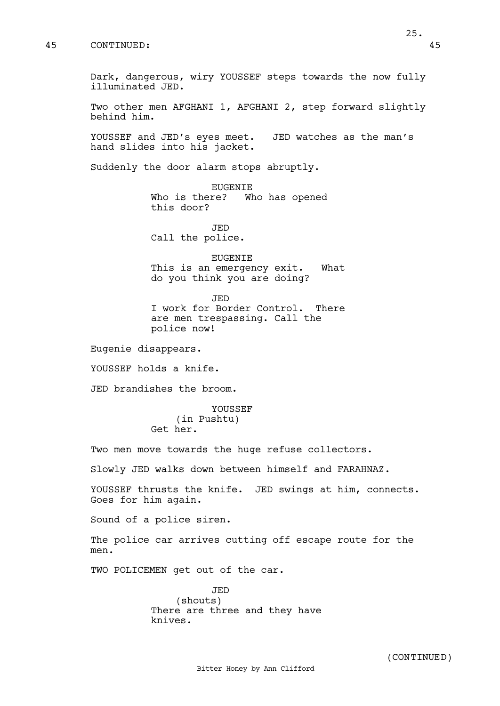Dark, dangerous, wiry YOUSSEF steps towards the now fully illuminated JED.

Two other men AFGHANI 1, AFGHANI 2, step forward slightly behind him.

YOUSSEF and JED's eyes meet. JED watches as the man's hand slides into his jacket.

Suddenly the door alarm stops abruptly.

EUGENIE Who is there? Who has opened this door?

JED Call the police.

EUGENIE This is an emergency exit. What do you think you are doing?

JED

I work for Border Control. There are men trespassing. Call the police now!

Eugenie disappears.

YOUSSEF holds a knife.

JED brandishes the broom.

YOUSSEF (in Pushtu) Get her.

Two men move towards the huge refuse collectors.

Slowly JED walks down between himself and FARAHNAZ.

YOUSSEF thrusts the knife. JED swings at him, connects. Goes for him again.

Sound of a police siren.

The police car arrives cutting off escape route for the men.

TWO POLICEMEN get out of the car.

JED (shouts) There are three and they have knives.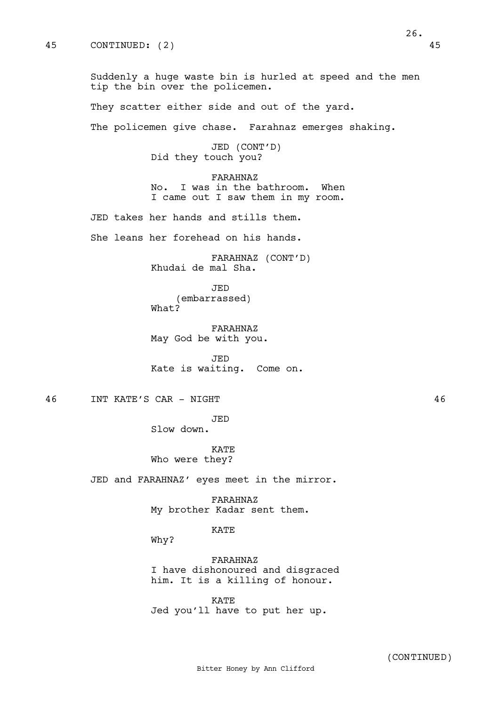Suddenly a huge waste bin is hurled at speed and the men tip the bin over the policemen.

They scatter either side and out of the yard.

The policemen give chase. Farahnaz emerges shaking.

JED (CONT'D) Did they touch you?

FARAHNAZ No. I was in the bathroom. When I came out I saw them in my room.

JED takes her hands and stills them.

She leans her forehead on his hands.

FARAHNAZ (CONT'D) Khudai de mal Sha.

JED (embarrassed) What?

FARAHNAZ May God be with you.

JED Kate is waiting. Come on.

46 INT KATE'S CAR - NIGHT 46

JED

Slow down.

KATE Who were they?

JED and FARAHNAZ' eyes meet in the mirror.

FARAHNAZ My brother Kadar sent them.

# KATE

Why?

FARAHNAZ I have dishonoured and disgraced him. It is a killing of honour.

KATE Jed you'll have to put her up.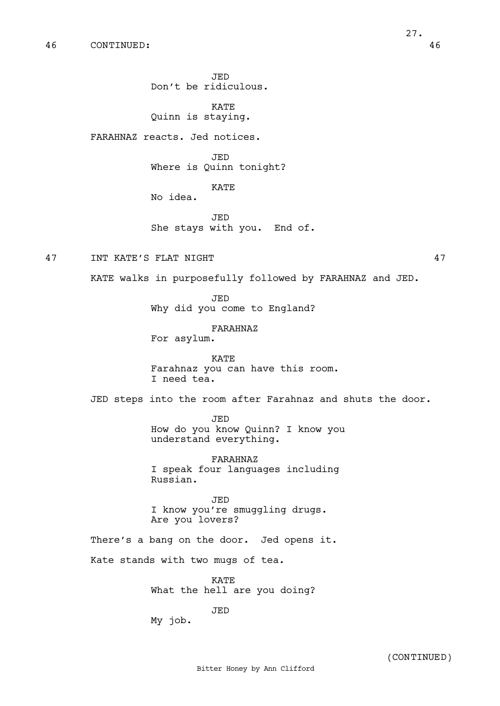**KATE** Quinn is staying.

FARAHNAZ reacts. Jed notices.

JED Where is Quinn tonight?

KATE

No idea.

JED She stays with you. End of.

47 INT KATE'S FLAT NIGHT 47

KATE walks in purposefully followed by FARAHNAZ and JED.

JED Why did you come to England?

FARAHNAZ

For asylum.

KATE Farahnaz you can have this room. I need tea.

JED steps into the room after Farahnaz and shuts the door.

JED How do you know Quinn? I know you understand everything.

FARAHNAZ I speak four languages including Russian.

JED I know you're smuggling drugs. Are you lovers?

There's a bang on the door. Jed opens it.

Kate stands with two mugs of tea.

KATE What the hell are you doing?

JED

My job.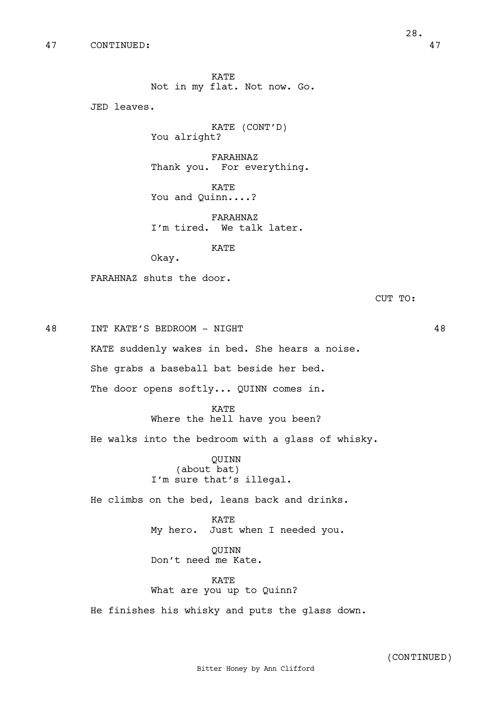KATE Not in my flat. Not now. Go.

JED leaves.

KATE (CONT'D) You alright?

FARAHNAZ Thank you. For everything.

KATE You and Quinn....?

FARAHNAZ I'm tired. We talk later.

KATE

Okay.

FARAHNAZ shuts the door.

CUT TO:

48 INT KATE'S BEDROOM - NIGHT 48 KATE suddenly wakes in bed. She hears a noise. She grabs a baseball bat beside her bed. The door opens softly... QUINN comes in.

> KATE Where the hell have you been?

He walks into the bedroom with a glass of whisky.

QUINN (about bat) I'm sure that's illegal.

He climbs on the bed, leans back and drinks.

KATE My hero. Just when I needed you.

QUINN Don't need me Kate.

KATE What are you up to Quinn?

He finishes his whisky and puts the glass down.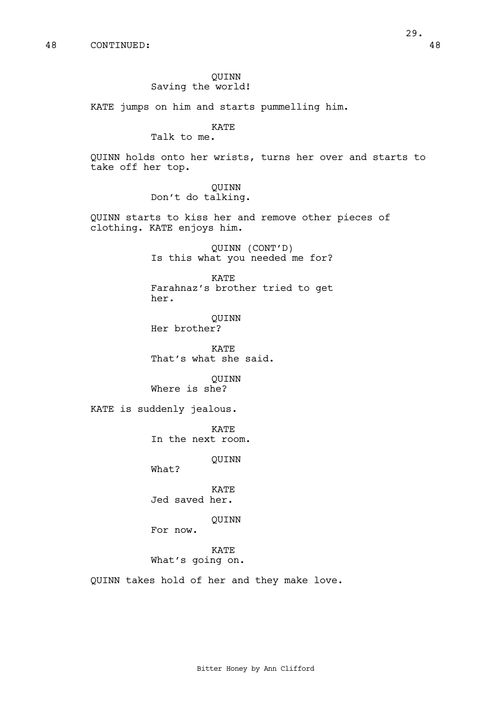29.

### QUINN Saving the world!

KATE jumps on him and starts pummelling him.

KATE

Talk to me.

QUINN holds onto her wrists, turns her over and starts to take off her top.

> QUINN Don't do talking.

QUINN starts to kiss her and remove other pieces of clothing. KATE enjoys him.

> QUINN (CONT'D) Is this what you needed me for?

> KATE Farahnaz's brother tried to get her.

QUINN Her brother?

KATE That's what she said.

QUINN Where is she?

KATE is suddenly jealous.

KATE In the next room.

QUINN

What?

KATE Jed saved her.

QUINN

For now.

KATE What's going on.

QUINN takes hold of her and they make love.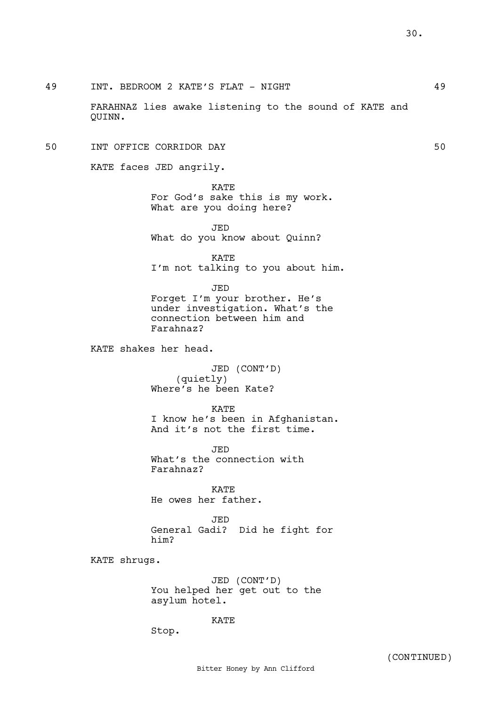49 INT. BEDROOM 2 KATE'S FLAT - NIGHT 49

FARAHNAZ lies awake listening to the sound of KATE and QUINN.

# 50 INT OFFICE CORRIDOR DAY 50

KATE faces JED angrily.

KATE For God's sake this is my work. What are you doing here?

JED What do you know about Quinn?

KATE I'm not talking to you about him.

JED Forget I'm your brother. He's under investigation. What's the connection between him and Farahnaz?

KATE shakes her head.

JED (CONT'D) (quietly) Where's he been Kate?

KATE

I know he's been in Afghanistan. And it's not the first time.

JED What's the connection with Farahnaz?

KATE He owes her father.

JED General Gadi? Did he fight for him?

KATE shrugs.

JED (CONT'D) You helped her get out to the asylum hotel.

KATE

Stop.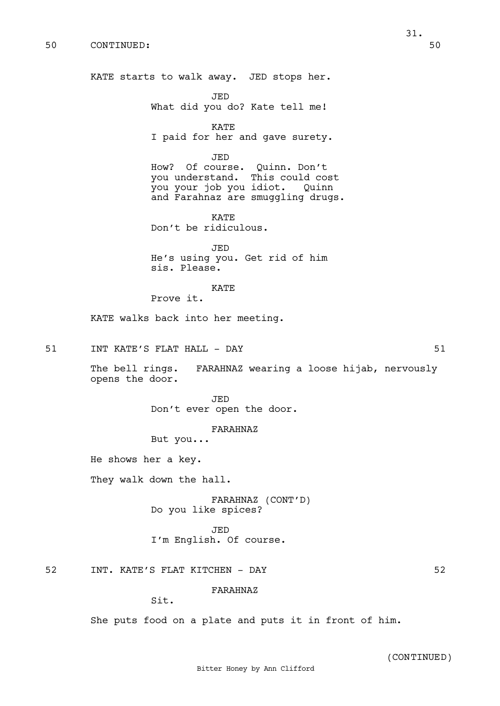KATE starts to walk away. JED stops her.

JED What did you do? Kate tell me!

KATE I paid for her and gave surety.

JED

How? Of course. Quinn. Don't you understand. This could cost you your job you idiot. Quinn and Farahnaz are smuggling drugs.

KATE Don't be ridiculous.

JED He's using you. Get rid of him sis. Please.

KATE

Prove it.

KATE walks back into her meeting.

51 INT KATE'S FLAT HALL - DAY 61

The bell rings. FARAHNAZ wearing a loose hijab, nervously opens the door.

> JED Don't ever open the door.

> > FARAHNAZ

But you...

He shows her a key.

They walk down the hall.

FARAHNAZ (CONT'D) Do you like spices?

JED I'm English. Of course.

52 INT. KATE'S FLAT KITCHEN - DAY 52

FARAHNAZ

Sit.

She puts food on a plate and puts it in front of him.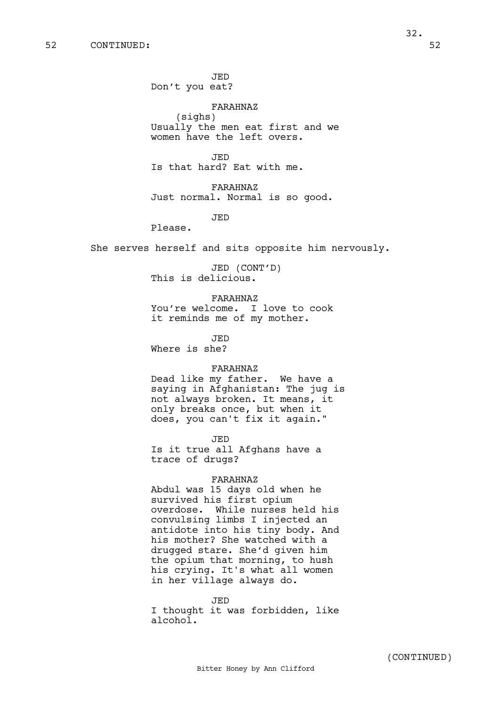JED Don't you eat?

FARAHNAZ

(sighs) Usually the men eat first and we women have the left overs.

JED Is that hard? Eat with me.

FARAHNAZ Just normal. Normal is so good.

JED

Please.

She serves herself and sits opposite him nervously.

JED (CONT'D) This is delicious.

FARAHNAZ

You're welcome. I love to cook it reminds me of my mother.

JED Where is she?

# FARAHNAZ

Dead like my father. We have a saying in Afghanistan: The jug is not always broken. It means, it only breaks once, but when it does, you can't fix it again."

JED

Is it true all Afghans have a trace of drugs?

# FARAHNAZ

Abdul was 15 days old when he survived his first opium overdose. While nurses held his convulsing limbs I injected an antidote into his tiny body. And his mother? She watched with a drugged stare. She'd given him the opium that morning, to hush his crying. It's what all women in her village always do.

JED I thought it was forbidden, like alcohol.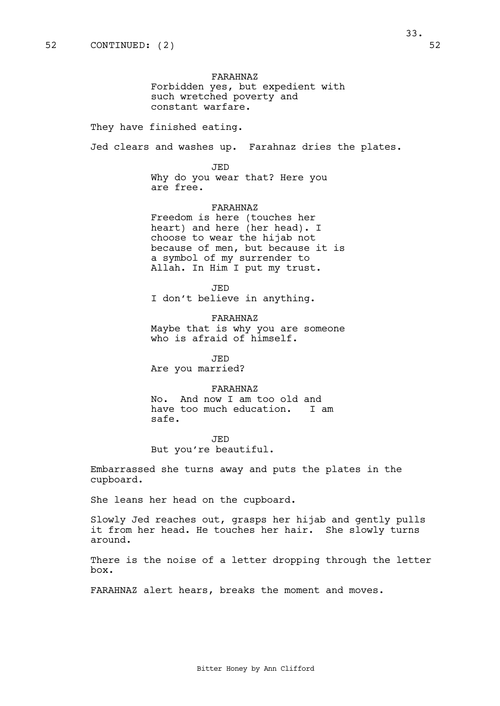FARAHNAZ Forbidden yes, but expedient with such wretched poverty and constant warfare.

They have finished eating.

Jed clears and washes up. Farahnaz dries the plates.

JED

Why do you wear that? Here you are free.

FARAHNAZ

Freedom is here (touches her heart) and here (her head). I choose to wear the hijab not because of men, but because it is a symbol of my surrender to Allah. In Him I put my trust.

JED

I don't believe in anything.

FARAHNAZ Maybe that is why you are someone who is afraid of himself.

JED Are you married?

FARAHNAZ No. And now I am too old and have too much education. I am safe.

JED But you're beautiful.

Embarrassed she turns away and puts the plates in the cupboard.

She leans her head on the cupboard.

Slowly Jed reaches out, grasps her hijab and gently pulls it from her head. He touches her hair. She slowly turns around.

There is the noise of a letter dropping through the letter box.

FARAHNAZ alert hears, breaks the moment and moves.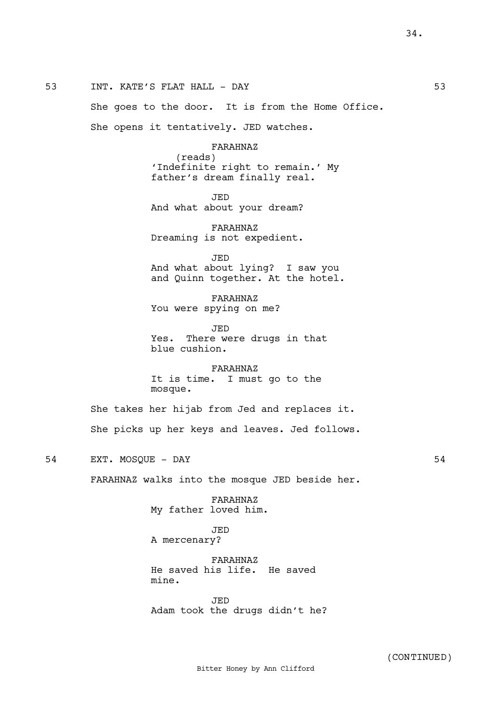She goes to the door. It is from the Home Office.

She opens it tentatively. JED watches.

FARAHNAZ (reads) 'Indefinite right to remain.' My father's dream finally real.

JED

And what about your dream?

FARAHNAZ Dreaming is not expedient.

JED And what about lying? I saw you and Quinn together. At the hotel.

FARAHNAZ You were spying on me?

JED Yes. There were drugs in that blue cushion.

FARAHNAZ It is time. I must go to the mosque.

She takes her hijab from Jed and replaces it. She picks up her keys and leaves. Jed follows.

54 EXT. MOSQUE – DAY 54

FARAHNAZ walks into the mosque JED beside her.

FARAHNAZ My father loved him.

JED A mercenary?

FARAHNAZ He saved his life. He saved mine.

JED Adam took the drugs didn't he? 34.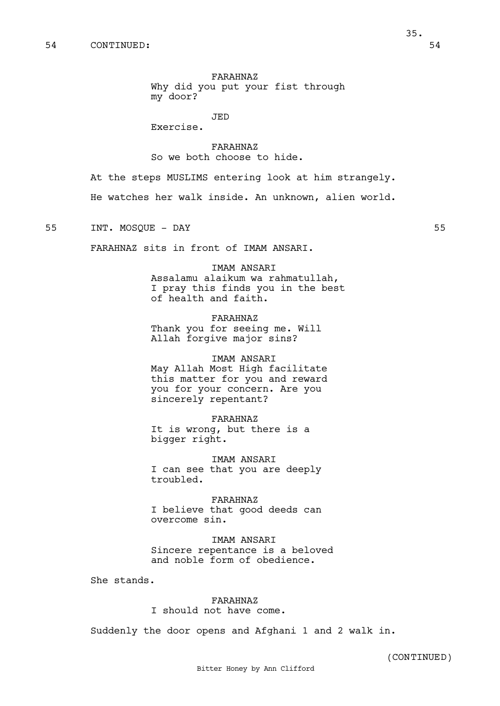FARAHNAZ

Why did you put your fist through my door?

JED

Exercise.

FARAHNAZ So we both choose to hide.

At the steps MUSLIMS entering look at him strangely.

He watches her walk inside. An unknown, alien world.

55 INT. MOSQUE - DAY 55

FARAHNAZ sits in front of IMAM ANSARI.

IMAM ANSARI Assalamu alaikum wa rahmatullah, I pray this finds you in the best of health and faith.

FARAHNAZ Thank you for seeing me. Will Allah forgive major sins?

IMAM ANSARI May Allah Most High facilitate this matter for you and reward you for your concern. Are you sincerely repentant?

FARAHNAZ It is wrong, but there is a bigger right.

IMAM ANSARI I can see that you are deeply troubled.

FARAHNAZ I believe that good deeds can overcome sin.

IMAM ANSARI Sincere repentance is a beloved and noble form of obedience.

She stands.

FARAHNAZ I should not have come.

Suddenly the door opens and Afghani 1 and 2 walk in.

(CONTINUED)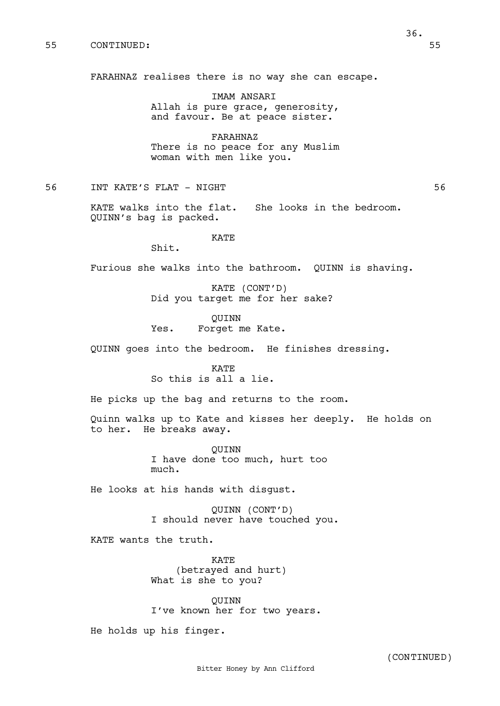FARAHNAZ realises there is no way she can escape.

IMAM ANSARI Allah is pure grace, generosity, and favour. Be at peace sister.

FARAHNAZ There is no peace for any Muslim woman with men like you.

56 INT KATE'S FLAT - NIGHT 56

KATE walks into the flat. She looks in the bedroom. QUINN's bag is packed.

KATE

Shit.

Furious she walks into the bathroom. QUINN is shaving.

KATE (CONT'D) Did you target me for her sake?

QUINN Yes. Forget me Kate.

QUINN goes into the bedroom. He finishes dressing.

KATE So this is all a lie.

He picks up the bag and returns to the room.

Quinn walks up to Kate and kisses her deeply. He holds on to her. He breaks away.

> QUINN I have done too much, hurt too much.

He looks at his hands with disgust.

QUINN (CONT'D) I should never have touched you.

KATE wants the truth.

KATE (betrayed and hurt) What is she to you?

QUINN I've known her for two years.

He holds up his finger.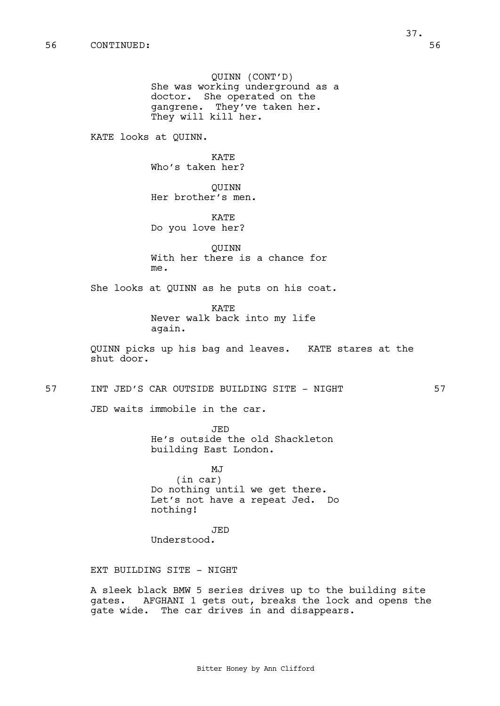QUINN (CONT'D) She was working underground as a doctor. She operated on the gangrene. They've taken her. They will kill her.

KATE looks at QUINN.

KATE Who's taken her?

QUINN Her brother's men.

KATE Do you love her?

QUINN With her there is a chance for me.

She looks at QUINN as he puts on his coat.

KATE Never walk back into my life again.

QUINN picks up his bag and leaves. KATE stares at the shut door.

57 INT JED'S CAR OUTSIDE BUILDING SITE - NIGHT 57

JED waits immobile in the car.

JED He's outside the old Shackleton building East London.

MJ (in car) Do nothing until we get there. Let's not have a repeat Jed. Do nothing!

JED Understood.

EXT BUILDING SITE - NIGHT

A sleek black BMW 5 series drives up to the building site gates. AFGHANI 1 gets out, breaks the lock and opens the gate wide. The car drives in and disappears.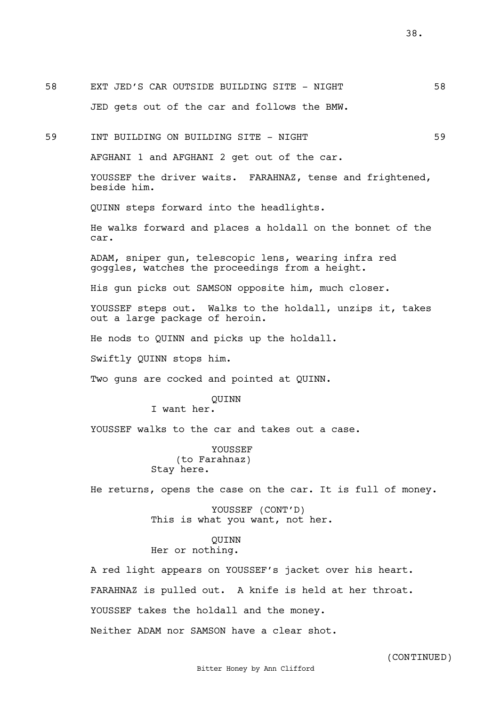38.

58 EXT JED'S CAR OUTSIDE BUILDING SITE - NIGHT 58

59 INT BUILDING ON BUILDING SITE - NIGHT 59 AFGHANI 1 and AFGHANI 2 get out of the car. YOUSSEF the driver waits. FARAHNAZ, tense and frightened, beside him. QUINN steps forward into the headlights. He walks forward and places a holdall on the bonnet of the car. ADAM, sniper gun, telescopic lens, wearing infra red goggles, watches the proceedings from a height. His gun picks out SAMSON opposite him, much closer. YOUSSEF steps out. Walks to the holdall, unzips it, takes out a large package of heroin. He nods to QUINN and picks up the holdall.

JED gets out of the car and follows the BMW.

Swiftly QUINN stops him.

Two guns are cocked and pointed at QUINN.

QUINN

I want her.

YOUSSEF walks to the car and takes out a case.

YOUSSEF (to Farahnaz) Stay here.

He returns, opens the case on the car. It is full of money.

YOUSSEF (CONT'D) This is what you want, not her.

## QUINN Her or nothing.

A red light appears on YOUSSEF's jacket over his heart. FARAHNAZ is pulled out. A knife is held at her throat. YOUSSEF takes the holdall and the money. Neither ADAM nor SAMSON have a clear shot.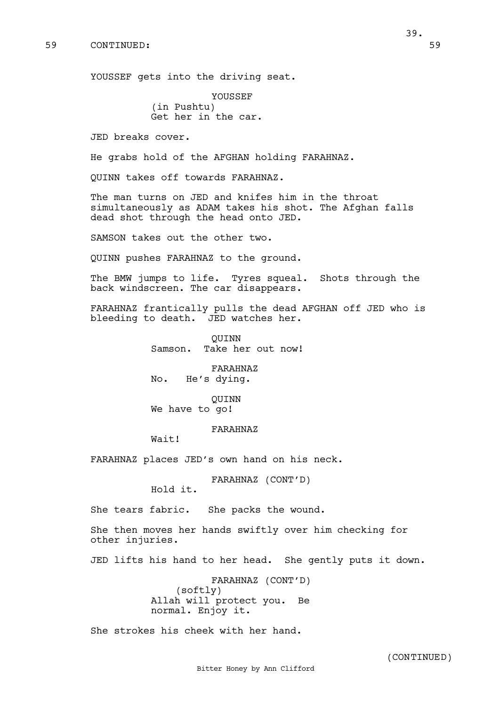YOUSSEF gets into the driving seat.

YOUSSEF (in Pushtu) Get her in the car.

JED breaks cover.

He grabs hold of the AFGHAN holding FARAHNAZ.

QUINN takes off towards FARAHNAZ.

The man turns on JED and knifes him in the throat simultaneously as ADAM takes his shot. The Afghan falls dead shot through the head onto JED.

SAMSON takes out the other two.

QUINN pushes FARAHNAZ to the ground.

The BMW jumps to life. Tyres squeal. Shots through the back windscreen. The car disappears.

FARAHNAZ frantically pulls the dead AFGHAN off JED who is bleeding to death. JED watches her.

> QUINN Samson. Take her out now!

FARAHNAZ No. He's dying.

QUINN We have to go!

#### FARAHNAZ

Wait!

FARAHNAZ places JED's own hand on his neck.

FARAHNAZ (CONT'D)

Hold it.

She tears fabric. She packs the wound.

She then moves her hands swiftly over him checking for other injuries.

JED lifts his hand to her head. She gently puts it down.

FARAHNAZ (CONT'D) (softly) Allah will protect you. Be normal. Enjoy it.

She strokes his cheek with her hand.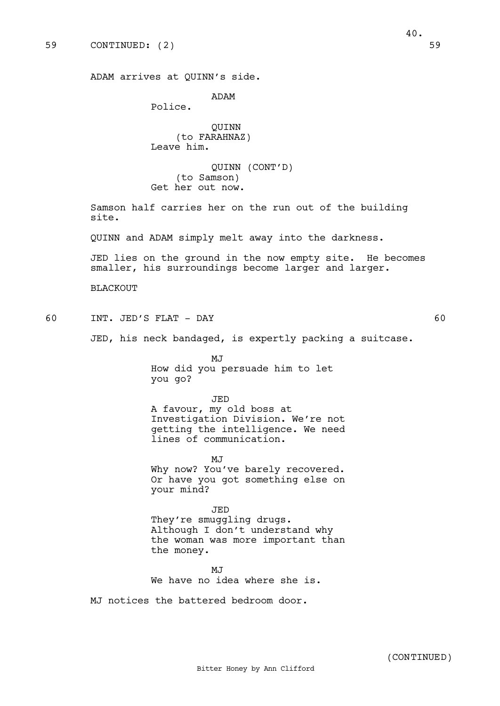ADAM

Police.

QUINN (to FARAHNAZ) Leave him.

QUINN (CONT'D) (to Samson) Get her out now.

Samson half carries her on the run out of the building site.

QUINN and ADAM simply melt away into the darkness.

JED lies on the ground in the now empty site. He becomes smaller, his surroundings become larger and larger.

BLACKOUT

60 INT. JED'S FLAT - DAY 60

JED, his neck bandaged, is expertly packing a suitcase.

MJ How did you persuade him to let you go?

JED

A favour, my old boss at Investigation Division. We're not getting the intelligence. We need lines of communication.

MJ Why now? You've barely recovered. Or have you got something else on your mind?

JED They're smuggling drugs. Although I don't understand why the woman was more important than the money.

MJ<sub>J</sub> We have no idea where she is.

MJ notices the battered bedroom door.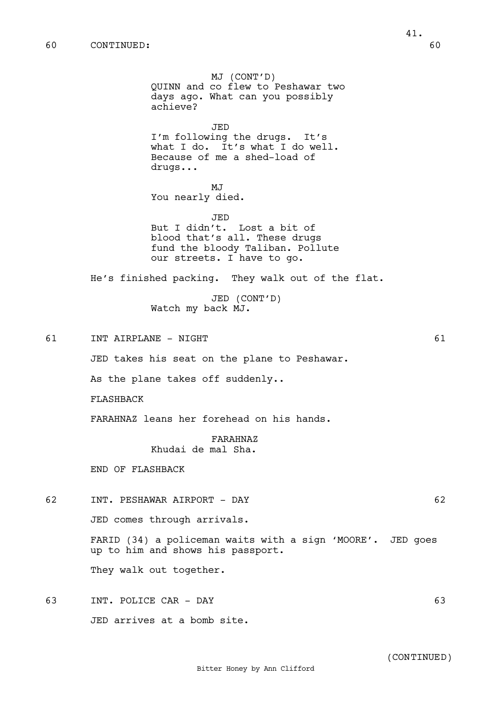MJ (CONT'D) QUINN and co flew to Peshawar two days ago. What can you possibly achieve? JED I'm following the drugs. It's what I do. It's what I do well. Because of me a shed-load of drugs... MJ You nearly died. JED But I didn't. Lost a bit of blood that's all. These drugs fund the bloody Taliban. Pollute our streets. I have to go. He's finished packing. They walk out of the flat. JED (CONT'D) Watch my back MJ. 61 INT AIRPLANE - NIGHT 61 JED takes his seat on the plane to Peshawar. As the plane takes off suddenly.. FLASHBACK FARAHNAZ leans her forehead on his hands. FARAHNAZ Khudai de mal Sha. END OF FLASHBACK 62 INT. PESHAWAR AIRPORT - DAY 62 JED comes through arrivals. FARID (34) a policeman waits with a sign 'MOORE'. JED goes up to him and shows his passport. They walk out together. 63 INT. POLICE CAR - DAY 63 JED arrives at a bomb site.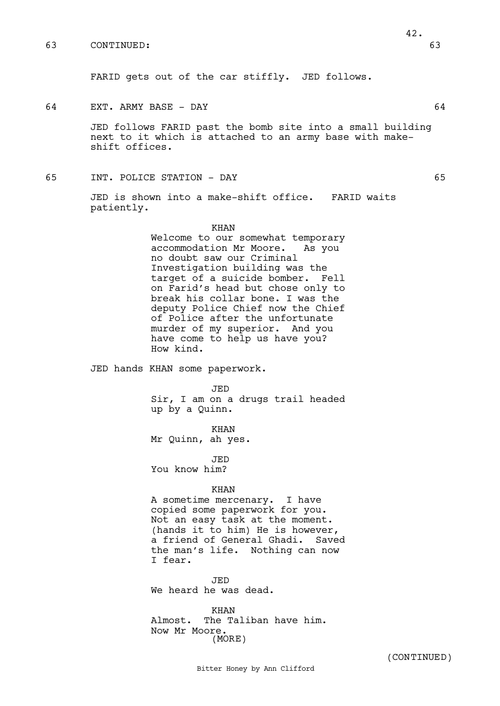63 CONTINUED: 63

FARID gets out of the car stiffly. JED follows.

64 EXT. ARMY BASE - DAY 64

JED follows FARID past the bomb site into a small building next to it which is attached to an army base with makeshift offices.

65 INT. POLICE STATION - DAY 65

JED is shown into a make-shift office. FARID waits patiently.

> KHAN Welcome to our somewhat temporary accommodation Mr Moore. As you no doubt saw our Criminal Investigation building was the target of a suicide bomber. Fell on Farid's head but chose only to break his collar bone. I was the deputy Police Chief now the Chief of Police after the unfortunate murder of my superior. And you have come to help us have you? How kind.

JED hands KHAN some paperwork.

#### JED

Sir, I am on a drugs trail headed up by a Quinn.

KHAN Mr Quinn, ah yes.

JED You know him?

#### KHAN

A sometime mercenary. I have copied some paperwork for you. Not an easy task at the moment. (hands it to him) He is however, a friend of General Ghadi. Saved the man's life. Nothing can now I fear.

JED We heard he was dead.

KHAN Almost. The Taliban have him. Now Mr Moore. (MORE)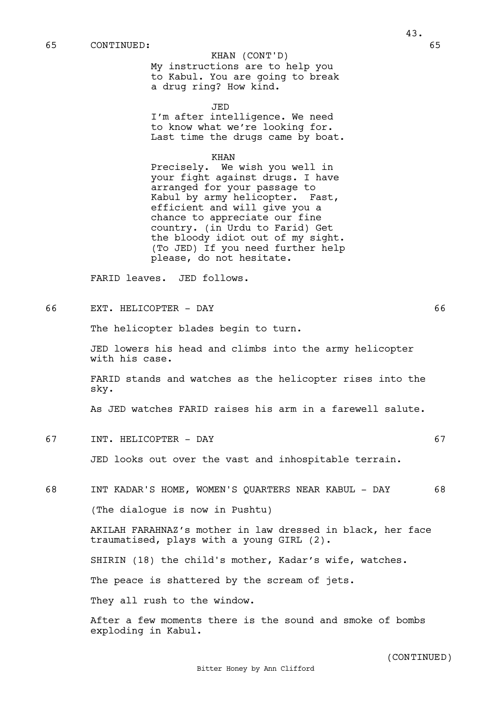#### 65 CONTINUED: 65

## KHAN (CONT'D)

My instructions are to help you to Kabul. You are going to break a drug ring? How kind.

JED

I'm after intelligence. We need to know what we're looking for. Last time the drugs came by boat.

KHAN

Precisely. We wish you well in your fight against drugs. I have arranged for your passage to Kabul by army helicopter. Fast, efficient and will give you a chance to appreciate our fine country. (in Urdu to Farid) Get the bloody idiot out of my sight. (To JED) If you need further help please, do not hesitate.

FARID leaves. JED follows.

66 EXT. HELICOPTER - DAY 66

The helicopter blades begin to turn.

JED lowers his head and climbs into the army helicopter with his case.

FARID stands and watches as the helicopter rises into the sky.

As JED watches FARID raises his arm in a farewell salute.

67 INT. HELICOPTER - DAY 67

JED looks out over the vast and inhospitable terrain.

68 INT KADAR'S HOME, WOMEN'S QUARTERS NEAR KABUL - DAY 68

(The dialogue is now in Pushtu)

AKILAH FARAHNAZ's mother in law dressed in black, her face traumatised, plays with a young GIRL (2).

SHIRIN (18) the child's mother, Kadar's wife, watches.

The peace is shattered by the scream of jets.

They all rush to the window.

After a few moments there is the sound and smoke of bombs exploding in Kabul.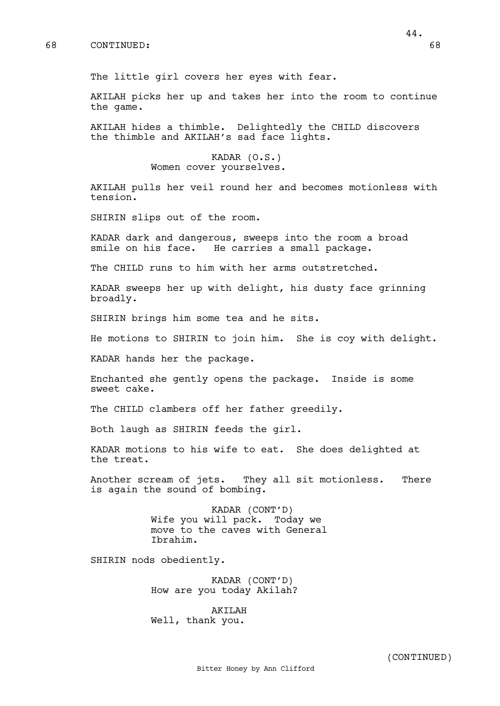AKILAH picks her up and takes her into the room to continue the game.

AKILAH hides a thimble. Delightedly the CHILD discovers the thimble and AKILAH's sad face lights.

> KADAR (O.S.) Women cover yourselves.

AKILAH pulls her veil round her and becomes motionless with tension.

SHIRIN slips out of the room.

KADAR dark and dangerous, sweeps into the room a broad smile on his face. He carries a small package.

The CHILD runs to him with her arms outstretched.

KADAR sweeps her up with delight, his dusty face grinning broadly.

SHIRIN brings him some tea and he sits.

He motions to SHIRIN to join him. She is coy with delight.

KADAR hands her the package.

Enchanted she gently opens the package. Inside is some sweet cake.

The CHILD clambers off her father greedily.

Both laugh as SHIRIN feeds the girl.

KADAR motions to his wife to eat. She does delighted at the treat.

Another scream of jets. They all sit motionless. There is again the sound of bombing.

> KADAR (CONT'D) Wife you will pack. Today we move to the caves with General Ibrahim.

SHIRIN nods obediently.

KADAR (CONT'D) How are you today Akilah?

AKILAH Well, thank you.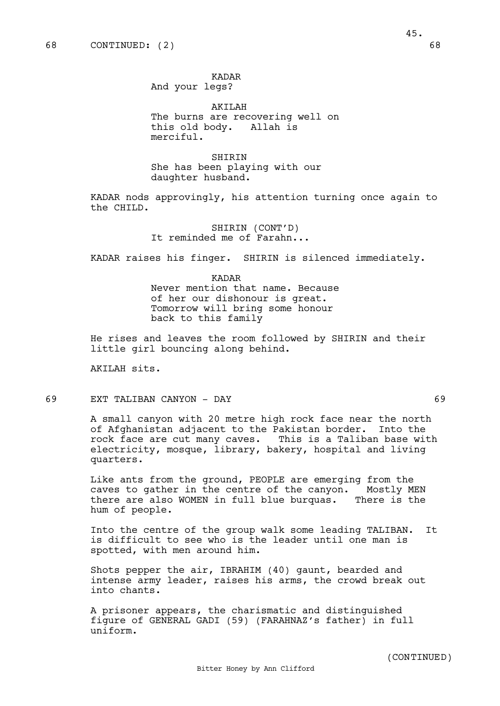KADAR And your legs?

AKILAH The burns are recovering well on this old body. Allah is merciful.

SHIRIN She has been playing with our daughter husband.

KADAR nods approvingly, his attention turning once again to the CHILD.

> SHIRIN (CONT'D) It reminded me of Farahn...

KADAR raises his finger. SHIRIN is silenced immediately.

KADAR Never mention that name. Because of her our dishonour is great. Tomorrow will bring some honour back to this family

He rises and leaves the room followed by SHIRIN and their little girl bouncing along behind.

AKILAH sits.

69 EXT TALIBAN CANYON - DAY 69

A small canyon with 20 metre high rock face near the north of Afghanistan adjacent to the Pakistan border. Into the rock face are cut many caves. This is a Taliban base with electricity, mosque, library, bakery, hospital and living quarters.

Like ants from the ground, PEOPLE are emerging from the caves to gather in the centre of the canyon. Mostly MEN there are also WOMEN in full blue burquas. There is the hum of people.

Into the centre of the group walk some leading TALIBAN. It is difficult to see who is the leader until one man is spotted, with men around him.

Shots pepper the air, IBRAHIM (40) gaunt, bearded and intense army leader, raises his arms, the crowd break out into chants.

A prisoner appears, the charismatic and distinguished figure of GENERAL GADI (59) (FARAHNAZ's father) in full uniform.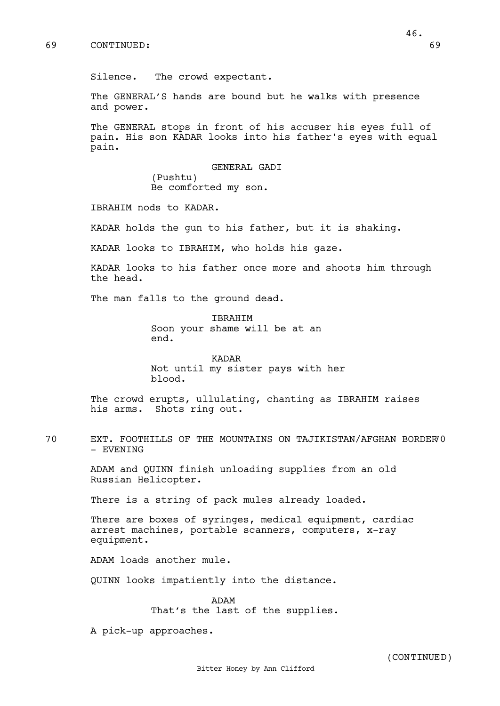Silence. The crowd expectant.

The GENERAL'S hands are bound but he walks with presence and power.

The GENERAL stops in front of his accuser his eyes full of pain. His son KADAR looks into his father's eyes with equal pain.

> GENERAL GADI (Pushtu) Be comforted my son.

IBRAHIM nods to KADAR.

KADAR holds the gun to his father, but it is shaking.

KADAR looks to IBRAHIM, who holds his gaze.

KADAR looks to his father once more and shoots him through the head.

The man falls to the ground dead.

IBRAHIM Soon your shame will be at an end.

KADAR Not until my sister pays with her blood.

The crowd erupts, ullulating, chanting as IBRAHIM raises his arms. Shots ring out.

70 EXT. FOOTHILLS OF THE MOUNTAINS ON TAJIKISTAN/AFGHAN BORDER 70 - EVENING

> ADAM and QUINN finish unloading supplies from an old Russian Helicopter.

There is a string of pack mules already loaded.

There are boxes of syringes, medical equipment, cardiac arrest machines, portable scanners, computers, x-ray equipment.

ADAM loads another mule.

QUINN looks impatiently into the distance.

ADAM That's the last of the supplies.

A pick-up approaches.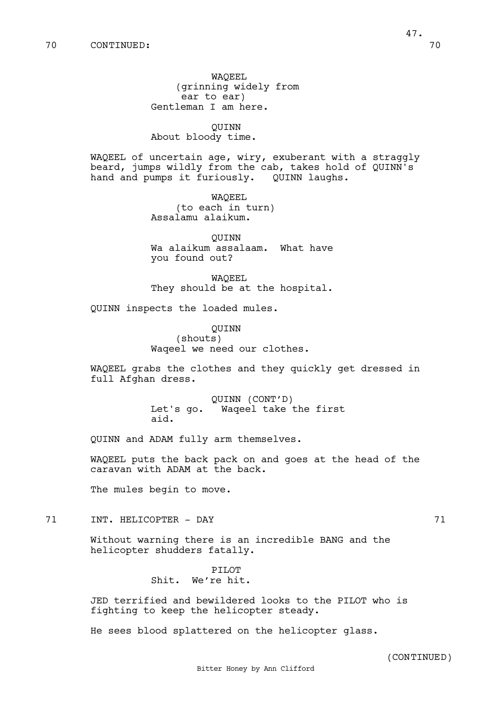WAQEEL (grinning widely from ear to ear) Gentleman I am here.

QUINN About bloody time.

WAQEEL of uncertain age, wiry, exuberant with a straggly beard, jumps wildly from the cab, takes hold of QUINN's hand and pumps it furiously. QUINN laughs.

> WAQEEL (to each in turn) Assalamu alaikum.

QUINN Wa alaikum assalaam. What have you found out?

WAQEEL They should be at the hospital.

QUINN inspects the loaded mules.

QUINN (shouts) Waqeel we need our clothes.

WAQEEL grabs the clothes and they quickly get dressed in full Afghan dress.

> QUINN (CONT'D) Let's go. Waqeel take the first aid.

QUINN and ADAM fully arm themselves.

WAQEEL puts the back pack on and goes at the head of the caravan with ADAM at the back.

The mules begin to move.

71 INT. HELICOPTER - DAY 71

Without warning there is an incredible BANG and the helicopter shudders fatally.

> PILOT Shit. We're hit.

JED terrified and bewildered looks to the PILOT who is fighting to keep the helicopter steady.

He sees blood splattered on the helicopter glass.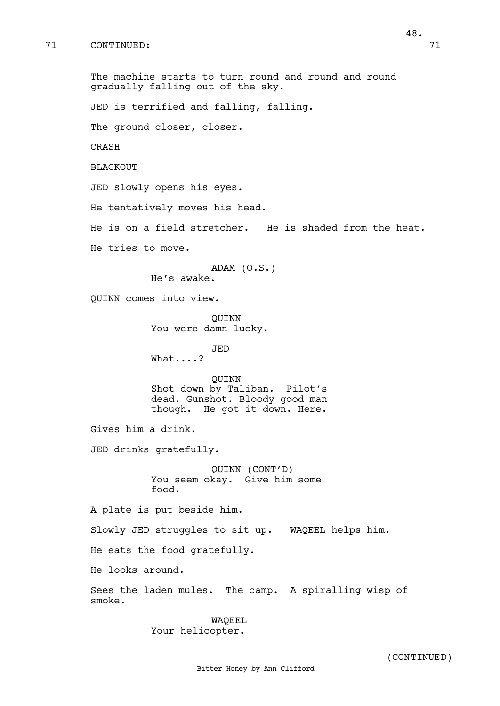The machine starts to turn round and round and round gradually falling out of the sky. JED is terrified and falling, falling. The ground closer, closer. CRASH BLACKOUT JED slowly opens his eyes. He tentatively moves his head. He is on a field stretcher. He is shaded from the heat. He tries to move. ADAM (O.S.) He's awake. QUINN comes into view. QUINN You were damn lucky. JED What....? QUINN Shot down by Taliban. Pilot's dead. Gunshot. Bloody good man though. He got it down. Here. Gives him a drink. JED drinks gratefully. QUINN (CONT'D) You seem okay. Give him some food. A plate is put beside him. Slowly JED struggles to sit up. WAQEEL helps him. He eats the food gratefully. He looks around. Sees the laden mules. The camp. A spiralling wisp of smoke. WAQEEL

Your helicopter.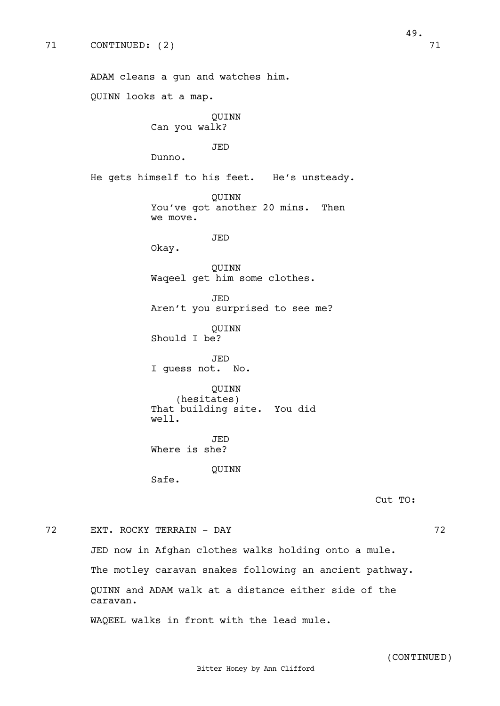ADAM cleans a gun and watches him. QUINN looks at a map. QUINN Can you walk? JED Dunno. He gets himself to his feet. He's unsteady. QUINN You've got another 20 mins. Then we move. JED Okay. QUINN Waqeel get him some clothes. JED Aren't you surprised to see me? QUINN Should I be? JED I guess not. No. QUINN (hesitates) That building site. You did well. JED Where is she? QUINN Safe.

Cut TO:

## 72 EXT. ROCKY TERRAIN - DAY 72

JED now in Afghan clothes walks holding onto a mule. The motley caravan snakes following an ancient pathway. QUINN and ADAM walk at a distance either side of the caravan.

WAQEEL walks in front with the lead mule.

(CONTINUED)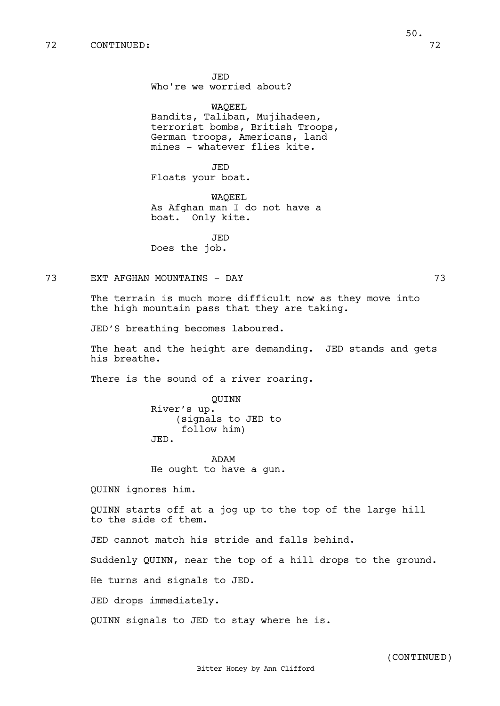JED Who're we worried about?

WAQEEL Bandits, Taliban, Mujihadeen, terrorist bombs, British Troops, German troops, Americans, land mines - whatever flies kite.

JED Floats your boat.

WAQEEL As Afghan man I do not have a boat. Only kite.

JED Does the job.

# 73 EXT AFGHAN MOUNTAINS - DAY 73

The terrain is much more difficult now as they move into the high mountain pass that they are taking.

JED'S breathing becomes laboured.

The heat and the height are demanding. JED stands and gets his breathe.

There is the sound of a river roaring.

QUINN River's up. (signals to JED to follow him) JED.

ADAM He ought to have a gun.

QUINN ignores him.

QUINN starts off at a jog up to the top of the large hill to the side of them.

JED cannot match his stride and falls behind.

Suddenly QUINN, near the top of a hill drops to the ground.

He turns and signals to JED.

JED drops immediately.

QUINN signals to JED to stay where he is.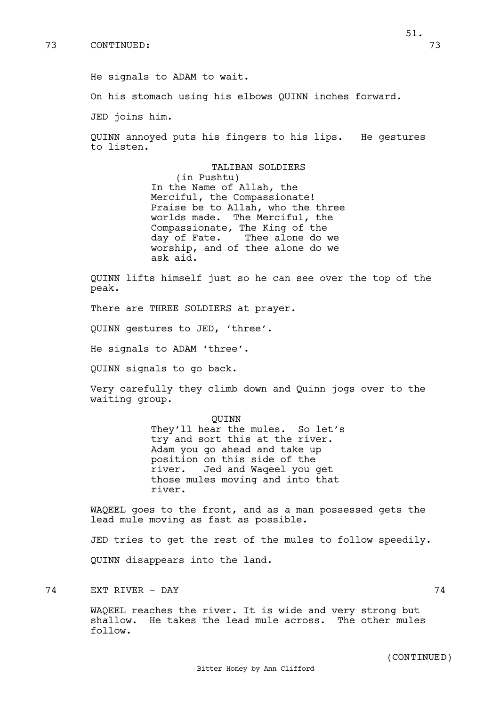On his stomach using his elbows QUINN inches forward.

JED joins him.

QUINN annoyed puts his fingers to his lips. He gestures to listen.

> TALIBAN SOLDIERS (in Pushtu) In the Name of Allah, the Merciful, the Compassionate! Praise be to Allah, who the three worlds made. The Merciful, the Compassionate, The King of the day of Fate. Thee alone do we worship, and of thee alone do we ask aid.

QUINN lifts himself just so he can see over the top of the peak.

There are THREE SOLDIERS at prayer.

QUINN gestures to JED, 'three'.

He signals to ADAM 'three'.

QUINN signals to go back.

Very carefully they climb down and Quinn jogs over to the waiting group.

> QUINN They'll hear the mules. So let's try and sort this at the river. Adam you go ahead and take up position on this side of the river. Jed and Waqeel you get those mules moving and into that river.

WAQEEL goes to the front, and as a man possessed gets the lead mule moving as fast as possible.

JED tries to get the rest of the mules to follow speedily. QUINN disappears into the land.

74 EXT RIVER - DAY 74

WAQEEL reaches the river. It is wide and very strong but shallow. He takes the lead mule across. The other mules follow.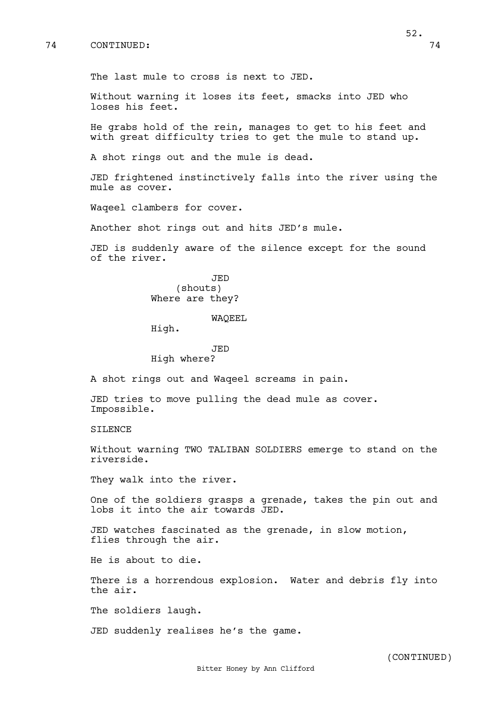## 74 CONTINUED: 74

Without warning it loses its feet, smacks into JED who loses his feet.

He grabs hold of the rein, manages to get to his feet and with great difficulty tries to get the mule to stand up.

A shot rings out and the mule is dead.

JED frightened instinctively falls into the river using the mule as cover.

Waqeel clambers for cover.

Another shot rings out and hits JED's mule.

JED is suddenly aware of the silence except for the sound of the river.

> JED (shouts) Where are they?

#### WAQEEL

High.

## JED High where?

A shot rings out and Waqeel screams in pain.

JED tries to move pulling the dead mule as cover. Impossible.

SILENCE

Without warning TWO TALIBAN SOLDIERS emerge to stand on the riverside.

They walk into the river.

One of the soldiers grasps a grenade, takes the pin out and lobs it into the air towards JED.

JED watches fascinated as the grenade, in slow motion, flies through the air.

He is about to die.

There is a horrendous explosion. Water and debris fly into the air.

The soldiers laugh.

JED suddenly realises he's the game.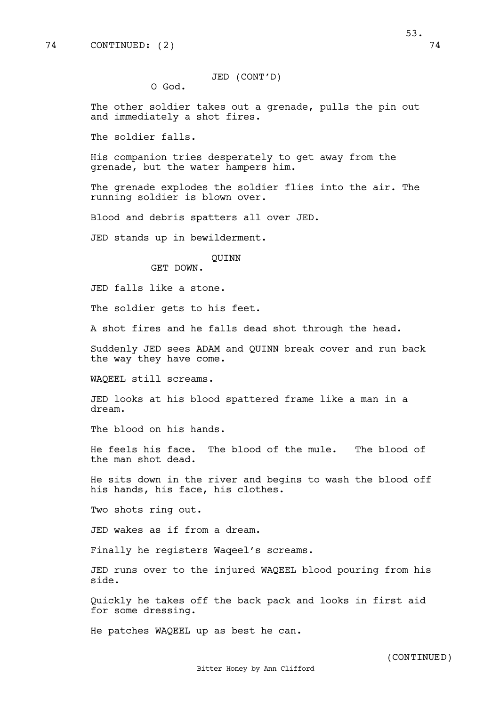JED (CONT'D)

O God.

The other soldier takes out a grenade, pulls the pin out and immediately a shot fires.

The soldier falls.

His companion tries desperately to get away from the grenade, but the water hampers him.

The grenade explodes the soldier flies into the air. The running soldier is blown over.

Blood and debris spatters all over JED.

JED stands up in bewilderment.

#### QUINN

GET DOWN.

JED falls like a stone.

The soldier gets to his feet.

A shot fires and he falls dead shot through the head.

Suddenly JED sees ADAM and QUINN break cover and run back the way they have come.

WAQEEL still screams.

JED looks at his blood spattered frame like a man in a dream.

The blood on his hands.

He feels his face. The blood of the mule. The blood of the man shot dead.

He sits down in the river and begins to wash the blood off his hands, his face, his clothes.

Two shots ring out.

JED wakes as if from a dream.

Finally he registers Waqeel's screams.

JED runs over to the injured WAQEEL blood pouring from his side.

Quickly he takes off the back pack and looks in first aid for some dressing.

He patches WAQEEL up as best he can.

53.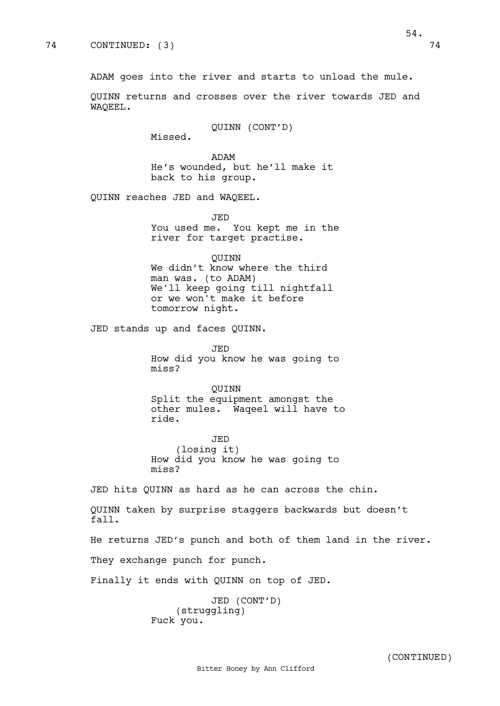ADAM goes into the river and starts to unload the mule.

QUINN returns and crosses over the river towards JED and WAQEEL.

QUINN (CONT'D)

Missed.

ADAM He's wounded, but he'll make it back to his group.

QUINN reaches JED and WAQEEL.

JED You used me. You kept me in the river for target practise.

QUINN We didn't know where the third man was. (to ADAM) We'll keep going till nightfall or we won't make it before tomorrow night.

JED stands up and faces QUINN.

JED How did you know he was going to miss?

QUINN Split the equipment amongst the other mules. Waqeel will have to ride.

JED (losing it) How did you know he was going to miss?

JED hits QUINN as hard as he can across the chin.

QUINN taken by surprise staggers backwards but doesn't fall.

He returns JED's punch and both of them land in the river.

They exchange punch for punch.

Finally it ends with QUINN on top of JED.

JED (CONT'D) (struggling) Fuck you.

54.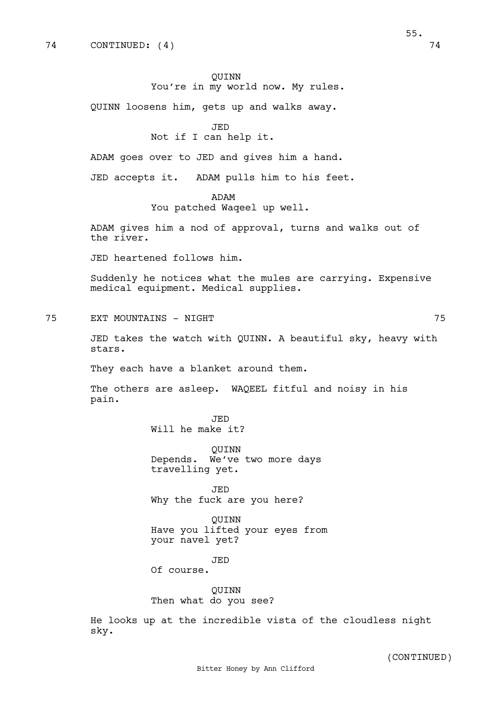QUINN loosens him, gets up and walks away.

JED

Not if I can help it.

ADAM goes over to JED and gives him a hand.

JED accepts it. ADAM pulls him to his feet.

ADAM

You patched Waqeel up well.

ADAM gives him a nod of approval, turns and walks out of the river.

JED heartened follows him.

Suddenly he notices what the mules are carrying. Expensive medical equipment. Medical supplies.

75 EXT MOUNTAINS - NIGHT 75

JED takes the watch with QUINN. A beautiful sky, heavy with stars.

They each have a blanket around them.

The others are asleep. WAQEEL fitful and noisy in his pain.

> JED Will he make it?

QUINN Depends. We've two more days travelling yet.

JED Why the fuck are you here?

QUINN Have you lifted your eyes from your navel yet?

JED

Of course.

# QUINN

Then what do you see?

He looks up at the incredible vista of the cloudless night sky.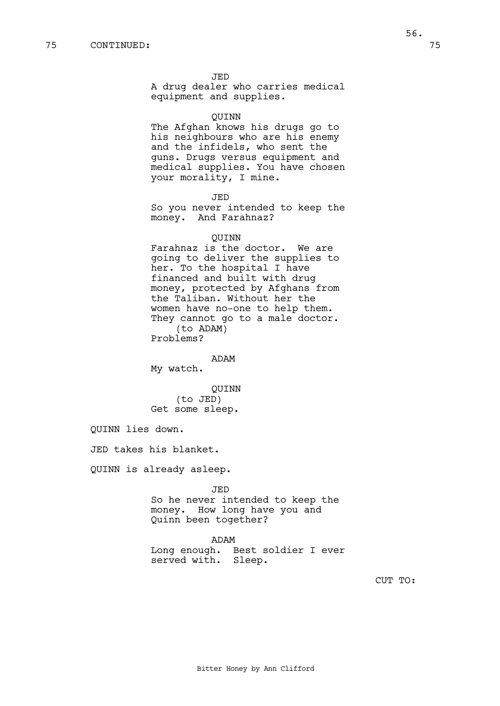A drug dealer who carries medical equipment and supplies.

#### QUINN

The Afghan knows his drugs go to his neighbours who are his enemy and the infidels, who sent the guns. Drugs versus equipment and medical supplies. You have chosen your morality, I mine.

JED

So you never intended to keep the money. And Farahnaz?

#### QUINN

Farahnaz is the doctor. We are going to deliver the supplies to her. To the hospital I have financed and built with drug money, protected by Afghans from the Taliban. Without her the women have no-one to help them. They cannot go to a male doctor. (to ADAM)

Problems?

## ADAM

My watch.

QUINN (to JED) Get some sleep.

QUINN lies down.

JED takes his blanket.

QUINN is already asleep.

JED So he never intended to keep the money. How long have you and Quinn been together?

#### ADAM

Long enough. Best soldier I ever served with. Sleep.

CUT TO: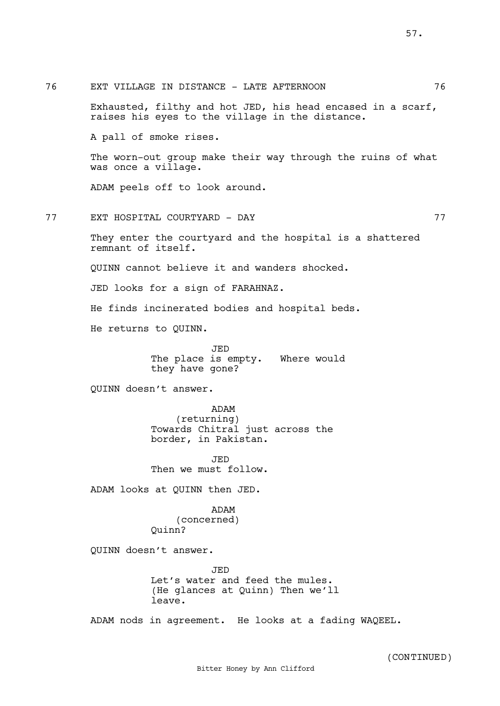76 EXT VILLAGE IN DISTANCE - LATE AFTERNOON 76 Exhausted, filthy and hot JED, his head encased in a scarf, raises his eyes to the village in the distance. A pall of smoke rises. The worn-out group make their way through the ruins of what was once a village. ADAM peels off to look around. 77 EXT HOSPITAL COURTYARD - DAY 77 They enter the courtyard and the hospital is a shattered remnant of itself. QUINN cannot believe it and wanders shocked. JED looks for a sign of FARAHNAZ. He finds incinerated bodies and hospital beds. He returns to QUINN. JED The place is empty. Where would they have gone? QUINN doesn't answer. ADAM (returning) Towards Chitral just across the border, in Pakistan. JED Then we must follow. ADAM looks at QUINN then JED. ADAM (concerned) Quinn? QUINN doesn't answer. JED Let's water and feed the mules. (He glances at Quinn) Then we'll leave.

ADAM nods in agreement. He looks at a fading WAQEEL.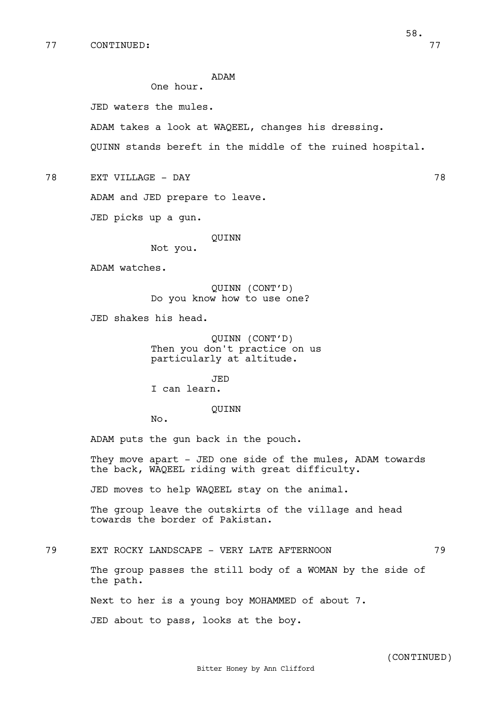## ADAM

One hour.

JED waters the mules.

ADAM takes a look at WAQEEL, changes his dressing.

QUINN stands bereft in the middle of the ruined hospital.

78 EXT VILLAGE - DAY 78

ADAM and JED prepare to leave.

JED picks up a gun.

QUINN

Not you.

ADAM watches.

QUINN (CONT'D) Do you know how to use one?

JED shakes his head.

QUINN (CONT'D) Then you don't practice on us particularly at altitude.

JED

I can learn.

QUINN

No.

ADAM puts the gun back in the pouch.

They move apart - JED one side of the mules, ADAM towards the back, WAQEEL riding with great difficulty.

JED moves to help WAQEEL stay on the animal.

The group leave the outskirts of the village and head towards the border of Pakistan.

79 EXT ROCKY LANDSCAPE - VERY LATE AFTERNOON 79

The group passes the still body of a WOMAN by the side of the path.

Next to her is a young boy MOHAMMED of about 7.

JED about to pass, looks at the boy.

58.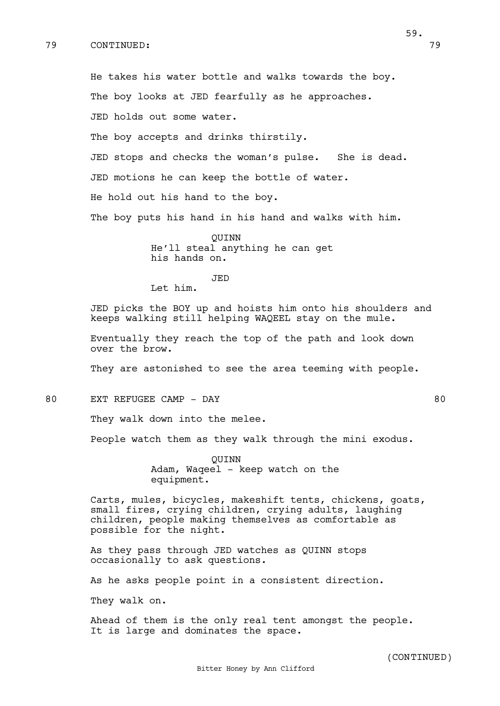He takes his water bottle and walks towards the boy. The boy looks at JED fearfully as he approaches. JED holds out some water. The boy accepts and drinks thirstily. JED stops and checks the woman's pulse. She is dead. JED motions he can keep the bottle of water. He hold out his hand to the boy. The boy puts his hand in his hand and walks with him.

QUINN He'll steal anything he can get his hands on.

JED

Let him.

JED picks the BOY up and hoists him onto his shoulders and keeps walking still helping WAQEEL stay on the mule.

Eventually they reach the top of the path and look down over the brow.

They are astonished to see the area teeming with people.

80 EXT REFUGEE CAMP - DAY 80

They walk down into the melee.

People watch them as they walk through the mini exodus.

QUINN Adam, Waqeel - keep watch on the equipment.

Carts, mules, bicycles, makeshift tents, chickens, goats, small fires, crying children, crying adults, laughing children, people making themselves as comfortable as possible for the night.

As they pass through JED watches as QUINN stops occasionally to ask questions.

As he asks people point in a consistent direction.

They walk on.

Ahead of them is the only real tent amongst the people. It is large and dominates the space.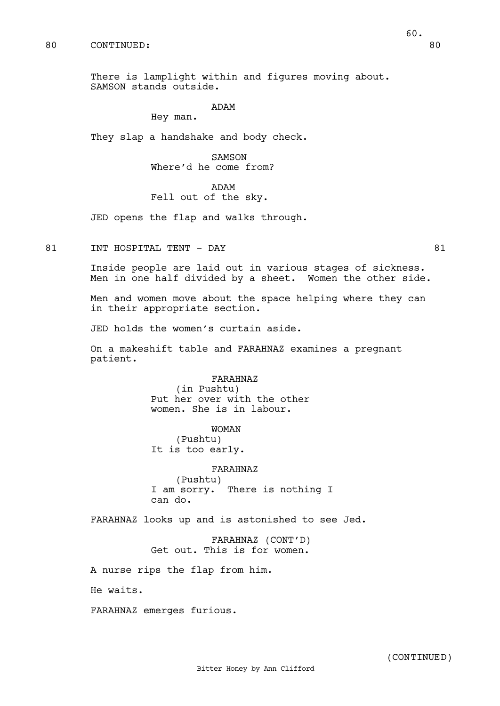## 80 CONTINUED: 80

There is lamplight within and figures moving about. SAMSON stands outside.

#### ADAM

Hey man.

They slap a handshake and body check.

SAMSON Where'd he come from?

ADAM

# Fell out of the sky.

JED opens the flap and walks through.

81 INT HOSPITAL TENT - DAY 81

Inside people are laid out in various stages of sickness. Men in one half divided by a sheet. Women the other side.

Men and women move about the space helping where they can in their appropriate section.

JED holds the women's curtain aside.

On a makeshift table and FARAHNAZ examines a pregnant patient.

> FARAHNAZ (in Pushtu) Put her over with the other women. She is in labour.

> > WOMAN

(Pushtu) It is too early.

FARAHNAZ (Pushtu) I am sorry. There is nothing I can do.

FARAHNAZ looks up and is astonished to see Jed.

FARAHNAZ (CONT'D) Get out. This is for women.

A nurse rips the flap from him.

He waits.

FARAHNAZ emerges furious.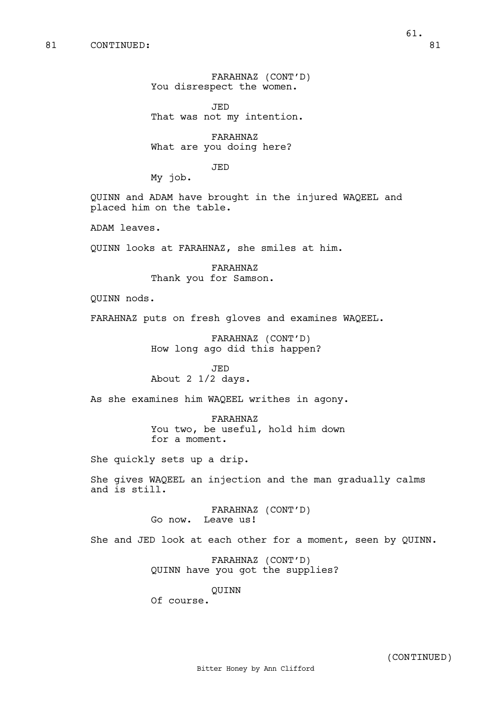FARAHNAZ (CONT'D) You disrespect the women.

JED That was not my intention.

FARAHNAZ What are you doing here?

JED

My job.

QUINN and ADAM have brought in the injured WAQEEL and placed him on the table.

ADAM leaves.

QUINN looks at FARAHNAZ, she smiles at him.

FARAHNAZ Thank you for Samson.

QUINN nods.

FARAHNAZ puts on fresh gloves and examines WAQEEL.

FARAHNAZ (CONT'D) How long ago did this happen?

JED About 2 1/2 days.

As she examines him WAQEEL writhes in agony.

FARAHNAZ You two, be useful, hold him down for a moment.

She quickly sets up a drip.

She gives WAQEEL an injection and the man gradually calms and is still.

> FARAHNAZ (CONT'D) Go now. Leave us!

She and JED look at each other for a moment, seen by QUINN.

FARAHNAZ (CONT'D) QUINN have you got the supplies?

QUINN

Of course.

(CONTINUED)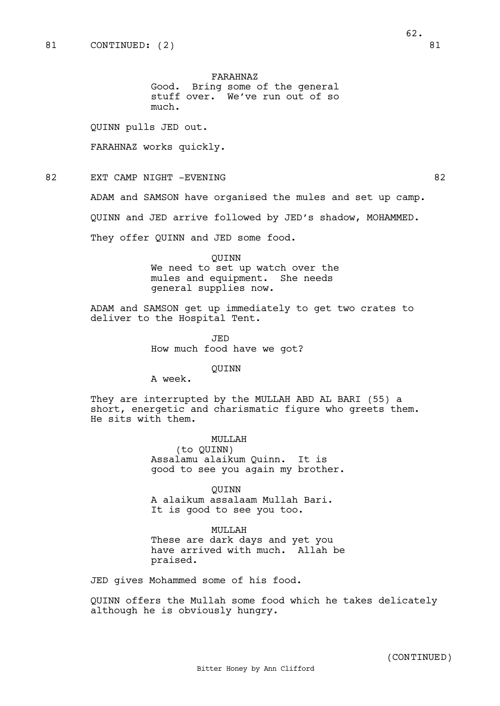QUINN pulls JED out.

FARAHNAZ works quickly.

82 EXT CAMP NIGHT -EVENING 82

ADAM and SAMSON have organised the mules and set up camp.

QUINN and JED arrive followed by JED's shadow, MOHAMMED.

They offer QUINN and JED some food.

QUINN We need to set up watch over the mules and equipment. She needs general supplies now.

ADAM and SAMSON get up immediately to get two crates to deliver to the Hospital Tent.

> JED How much food have we got?

> > QUINN

A week.

They are interrupted by the MULLAH ABD AL BARI (55) a short, energetic and charismatic figure who greets them. He sits with them.

> MULLAH (to QUINN) Assalamu alaikum Quinn. It is good to see you again my brother.

QUINN A alaikum assalaam Mullah Bari. It is good to see you too.

MULLAH These are dark days and yet you have arrived with much. Allah be praised.

JED gives Mohammed some of his food.

QUINN offers the Mullah some food which he takes delicately although he is obviously hungry.

(CONTINUED)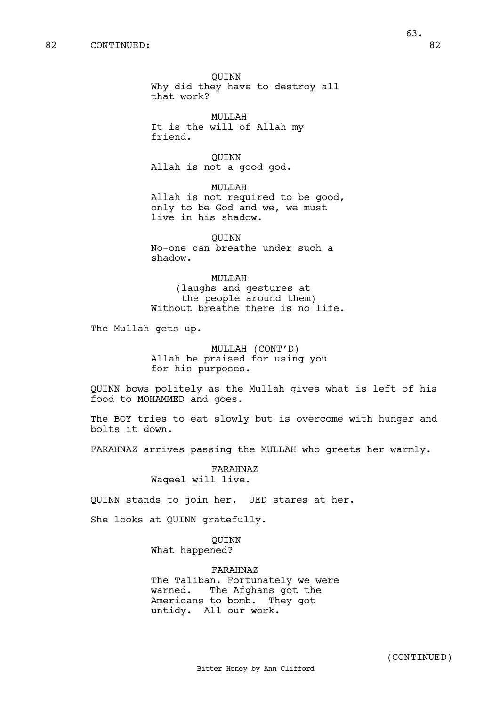63.

QUINN Why did they have to destroy all that work?

MULLAH It is the will of Allah my friend.

QUINN Allah is not a good god.

MULLAH Allah is not required to be good, only to be God and we, we must live in his shadow.

QUINN No-one can breathe under such a shadow.

MULLAH (laughs and gestures at the people around them) Without breathe there is no life.

The Mullah gets up.

MULLAH (CONT'D) Allah be praised for using you for his purposes.

QUINN bows politely as the Mullah gives what is left of his food to MOHAMMED and goes.

The BOY tries to eat slowly but is overcome with hunger and bolts it down.

FARAHNAZ arrives passing the MULLAH who greets her warmly.

FARAHNAZ Waqeel will live.

QUINN stands to join her. JED stares at her.

She looks at QUINN gratefully.

QUINN What happened?

FARAHNAZ The Taliban. Fortunately we were warned. The Afghans got the Americans to bomb. They got untidy. All our work.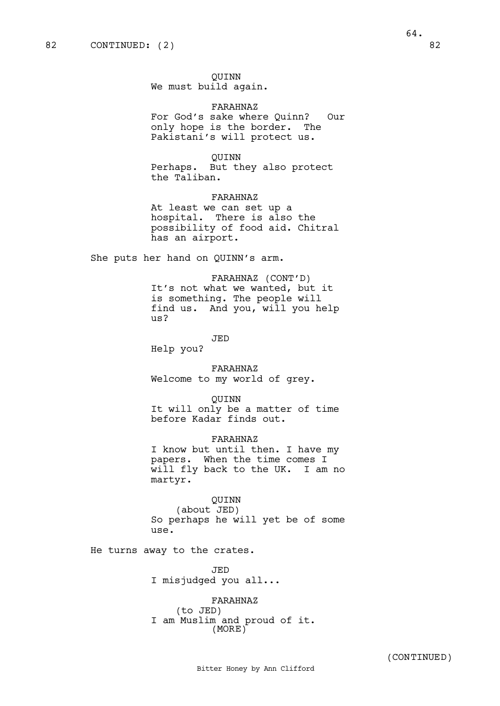QUINN We must build again.

FARAHNAZ For God's sake where Quinn? Our only hope is the border. The Pakistani's will protect us.

## QUINN

Perhaps. But they also protect the Taliban.

FARAHNAZ At least we can set up a hospital. There is also the possibility of food aid. Chitral has an airport.

She puts her hand on QUINN's arm.

FARAHNAZ (CONT'D) It's not what we wanted, but it is something. The people will find us. And you, will you help us?

JED

Help you?

FARAHNAZ Welcome to my world of grey.

QUINN

It will only be a matter of time before Kadar finds out.

FARAHNAZ

I know but until then. I have my papers. When the time comes I will fly back to the UK. I am no martyr.

QUINN (about JED) So perhaps he will yet be of some use.

He turns away to the crates.

JED I misjudged you all...

FARAHNAZ (to JED) I am Muslim and proud of it. (MORE)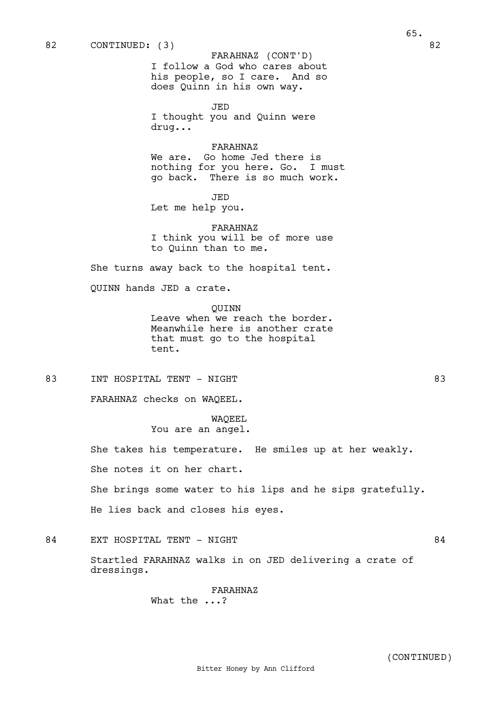I follow a God who cares about his people, so I care. And so does Quinn in his own way.

JED I thought you and Quinn were drug...

#### FARAHNAZ

We are. Go home Jed there is nothing for you here. Go. I must go back. There is so much work.

JED

Let me help you.

FARAHNAZ I think you will be of more use to Quinn than to me.

She turns away back to the hospital tent.

QUINN hands JED a crate.

QUINN

Leave when we reach the border. Meanwhile here is another crate that must go to the hospital tent.

83 INT HOSPITAL TENT - NIGHT 83

FARAHNAZ checks on WAQEEL.

WAQEEL You are an angel.

She takes his temperature. He smiles up at her weakly.

She notes it on her chart.

She brings some water to his lips and he sips gratefully.

He lies back and closes his eyes.

# 84 EXT HOSPITAL TENT - NIGHT 84

Startled FARAHNAZ walks in on JED delivering a crate of dressings.

> FARAHNAZ What the ...?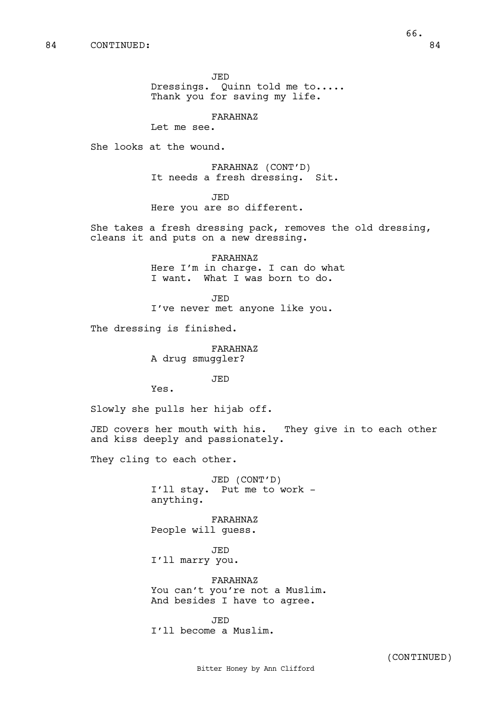JED

Dressings. Quinn told me to..... Thank you for saving my life.

FARAHNAZ

Let me see.

She looks at the wound.

FARAHNAZ (CONT'D) It needs a fresh dressing. Sit.

JED

Here you are so different.

She takes a fresh dressing pack, removes the old dressing, cleans it and puts on a new dressing.

> FARAHNAZ Here I'm in charge. I can do what I want. What I was born to do.

JED I've never met anyone like you.

The dressing is finished.

FARAHNAZ A drug smuggler?

JED

Yes.

Slowly she pulls her hijab off.

JED covers her mouth with his. They give in to each other and kiss deeply and passionately.

They cling to each other.

JED (CONT'D) I'll stay. Put me to work anything.

FARAHNAZ People will guess.

JED I'll marry you.

FARAHNAZ You can't you're not a Muslim. And besides I have to agree.

JED I'll become a Muslim.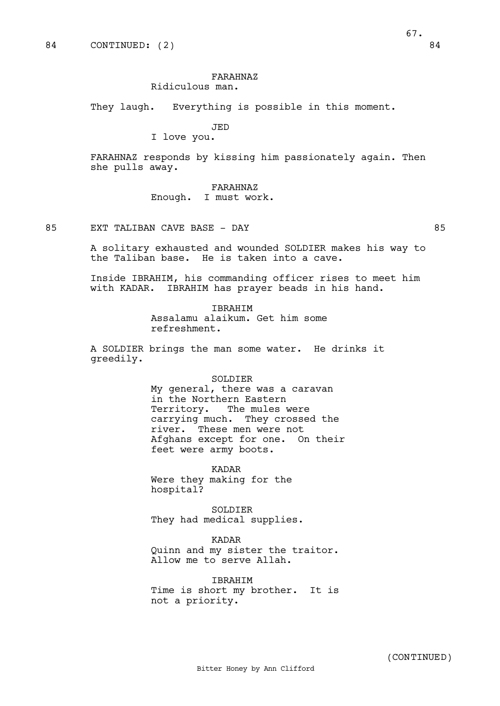## FARAHNAZ Ridiculous man.

They laugh. Everything is possible in this moment.

JED

I love you.

FARAHNAZ responds by kissing him passionately again. Then she pulls away.

# FARAHNAZ

Enough. I must work.

85 EXT TALIBAN CAVE BASE - DAY 85

A solitary exhausted and wounded SOLDIER makes his way to the Taliban base. He is taken into a cave.

Inside IBRAHIM, his commanding officer rises to meet him with KADAR. IBRAHIM has prayer beads in his hand.

> IBRAHIM Assalamu alaikum. Get him some refreshment.

A SOLDIER brings the man some water. He drinks it greedily.

#### SOLDIER

My general, there was a caravan in the Northern Eastern Territory. The mules were carrying much. They crossed the river. These men were not Afghans except for one. On their feet were army boots.

KADAR Were they making for the hospital?

SOLDIER

They had medical supplies.

KADAR

Quinn and my sister the traitor. Allow me to serve Allah.

IBRAHIM Time is short my brother. It is not a priority.

67.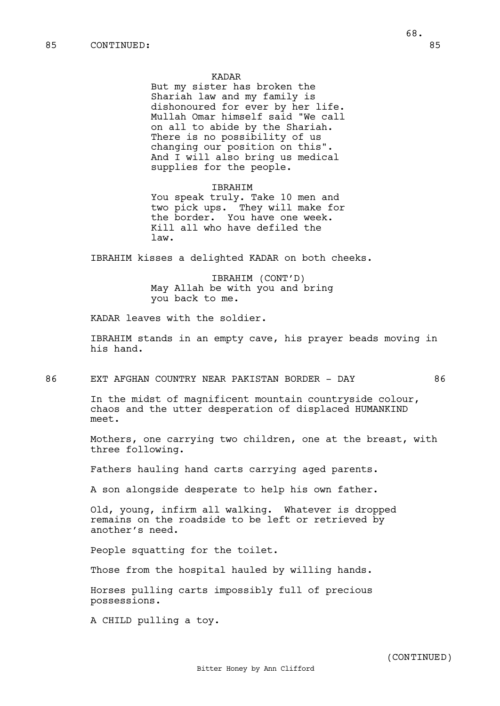#### KADAR

But my sister has broken the Shariah law and my family is dishonoured for ever by her life. Mullah Omar himself said "We call on all to abide by the Shariah. There is no possibility of us changing our position on this". And I will also bring us medical supplies for the people.

#### IBRAHIM

You speak truly. Take 10 men and two pick ups. They will make for the border. You have one week. Kill all who have defiled the law.

IBRAHIM kisses a delighted KADAR on both cheeks.

IBRAHIM (CONT'D) May Allah be with you and bring you back to me.

KADAR leaves with the soldier.

IBRAHIM stands in an empty cave, his prayer beads moving in his hand.

## 86 EXT AFGHAN COUNTRY NEAR PAKISTAN BORDER - DAY 86

In the midst of magnificent mountain countryside colour, chaos and the utter desperation of displaced HUMANKIND meet.

Mothers, one carrying two children, one at the breast, with three following.

Fathers hauling hand carts carrying aged parents.

A son alongside desperate to help his own father.

Old, young, infirm all walking. Whatever is dropped remains on the roadside to be left or retrieved by another's need.

People squatting for the toilet.

Those from the hospital hauled by willing hands.

Horses pulling carts impossibly full of precious possessions.

Bitter Honey by Ann Clifford

A CHILD pulling a toy.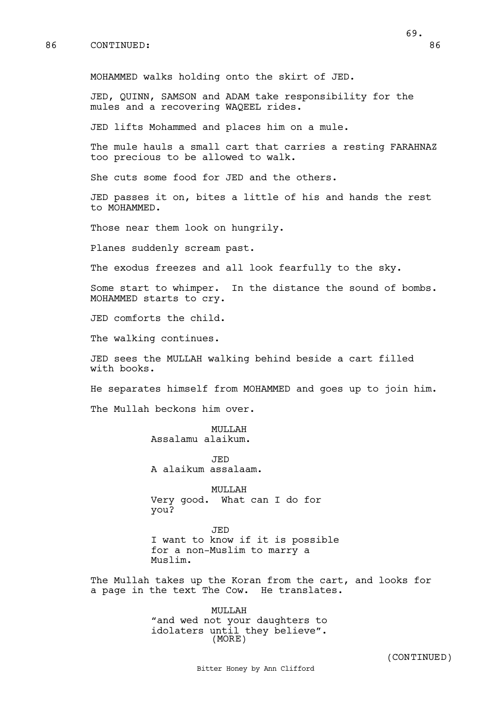86 CONTINUED: 86

JED, QUINN, SAMSON and ADAM take responsibility for the mules and a recovering WAQEEL rides.

JED lifts Mohammed and places him on a mule.

The mule hauls a small cart that carries a resting FARAHNAZ too precious to be allowed to walk.

She cuts some food for JED and the others.

JED passes it on, bites a little of his and hands the rest to MOHAMMED.

Those near them look on hungrily.

Planes suddenly scream past.

The exodus freezes and all look fearfully to the sky.

Some start to whimper. In the distance the sound of bombs. MOHAMMED starts to cry.

JED comforts the child.

The walking continues.

JED sees the MULLAH walking behind beside a cart filled with books.

He separates himself from MOHAMMED and goes up to join him.

The Mullah beckons him over.

MULLAH Assalamu alaikum.

JED A alaikum assalaam.

MULLAH Very good. What can I do for you?

JED I want to know if it is possible for a non-Muslim to marry a Muslim.

The Mullah takes up the Koran from the cart, and looks for a page in the text The Cow. He translates.

> MULLAH "and wed not your daughters to idolaters until they believe". (MORE)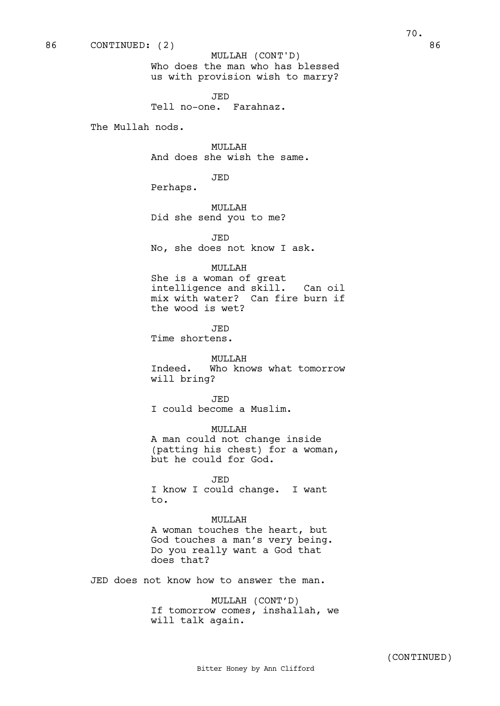Who does the man who has blessed us with provision wish to marry? MULLAH (CONT'D)

JED Tell no-one. Farahnaz.

The Mullah nods.

MULLAH And does she wish the same.

JED

Perhaps.

MULLAH Did she send you to me?

JED

No, she does not know I ask.

#### MULLAH

She is a woman of great intelligence and skill. Can oil mix with water? Can fire burn if the wood is wet?

JED

Time shortens.

## MULLAH

Indeed. Who knows what tomorrow will bring?

JED I could become a Muslim.

MULLAH A man could not change inside (patting his chest) for a woman, but he could for God.

JED I know I could change. I want to.

MULLAH A woman touches the heart, but God touches a man's very being. Do you really want a God that does that?

JED does not know how to answer the man.

MULLAH (CONT'D) If tomorrow comes, inshallah, we will talk again.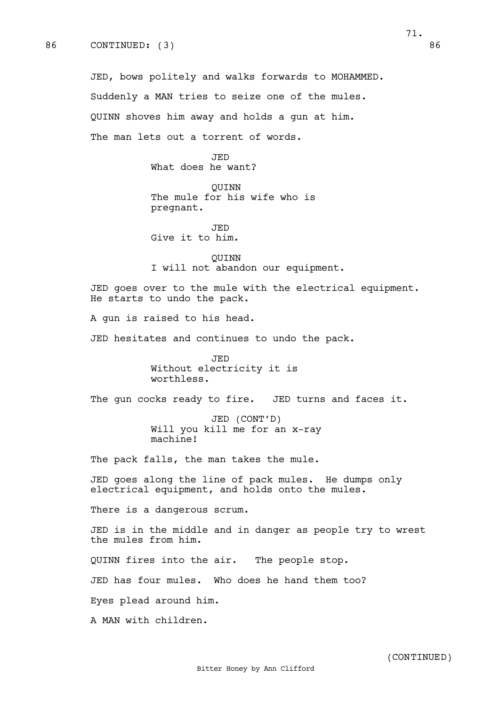The man lets out a torrent of words.

JED What does he want?

QUINN The mule for his wife who is pregnant.

JED Give it to him.

QUINN I will not abandon our equipment.

JED goes over to the mule with the electrical equipment. He starts to undo the pack.

A gun is raised to his head.

JED hesitates and continues to undo the pack.

JED Without electricity it is worthless.

The gun cocks ready to fire. JED turns and faces it.

JED (CONT'D) Will you kill me for an x-ray machine!

The pack falls, the man takes the mule.

JED goes along the line of pack mules. He dumps only electrical equipment, and holds onto the mules.

There is a dangerous scrum.

JED is in the middle and in danger as people try to wrest the mules from him.

QUINN fires into the air. The people stop.

JED has four mules. Who does he hand them too?

Eyes plead around him.

A MAN with children.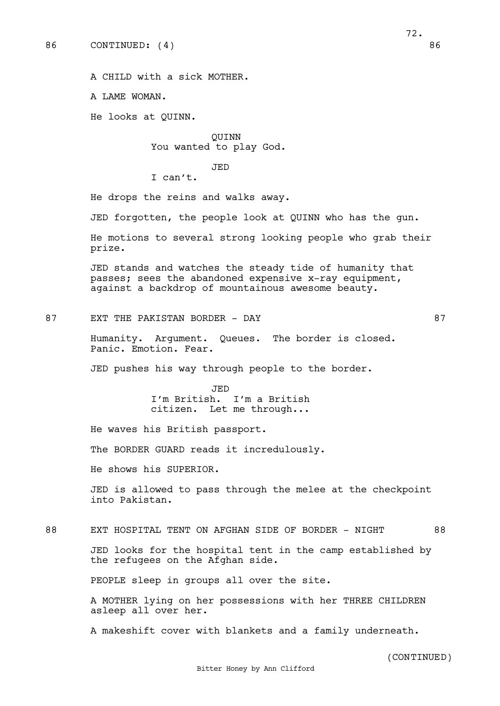72.

A CHILD with a sick MOTHER.

A LAME WOMAN.

He looks at QUINN.

QUINN You wanted to play God.

JED

I can't.

He drops the reins and walks away.

JED forgotten, the people look at QUINN who has the gun.

He motions to several strong looking people who grab their prize.

JED stands and watches the steady tide of humanity that passes; sees the abandoned expensive x-ray equipment, against a backdrop of mountainous awesome beauty.

87 EXT THE PAKISTAN BORDER - DAY 67

Humanity. Argument. Queues. The border is closed. Panic. Emotion. Fear.

JED pushes his way through people to the border.

JED I'm British. I'm a British citizen. Let me through...

He waves his British passport.

The BORDER GUARD reads it incredulously.

He shows his SUPERIOR.

JED is allowed to pass through the melee at the checkpoint into Pakistan.

# 88 EXT HOSPITAL TENT ON AFGHAN SIDE OF BORDER - NIGHT 88

JED looks for the hospital tent in the camp established by the refugees on the Afghan side.

PEOPLE sleep in groups all over the site.

A MOTHER lying on her possessions with her THREE CHILDREN asleep all over her.

A makeshift cover with blankets and a family underneath.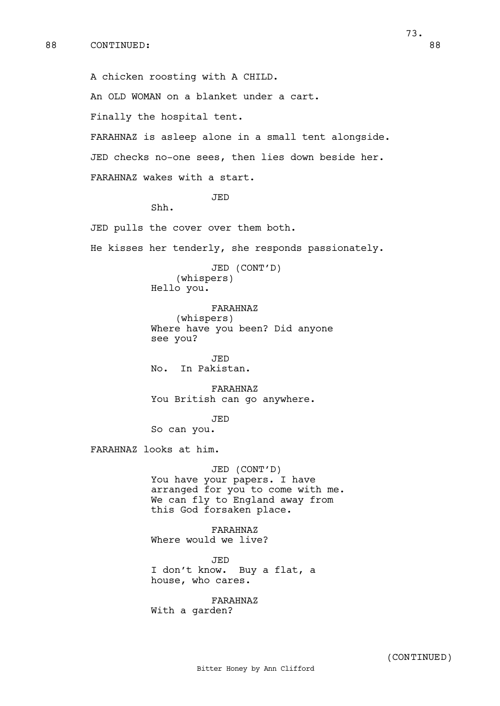A chicken roosting with A CHILD.

An OLD WOMAN on a blanket under a cart.

Finally the hospital tent.

FARAHNAZ is asleep alone in a small tent alongside.

JED checks no-one sees, then lies down beside her.

FARAHNAZ wakes with a start.

JED

Shh.

JED pulls the cover over them both.

He kisses her tenderly, she responds passionately.

JED (CONT'D) (whispers) Hello you.

FARAHNAZ (whispers) Where have you been? Did anyone see you?

JED No. In Pakistan.

FARAHNAZ You British can go anywhere.

JED So can you.

FARAHNAZ looks at him.

JED (CONT'D) You have your papers. I have arranged for you to come with me. We can fly to England away from this God forsaken place.

FARAHNAZ Where would we live?

JED I don't know. Buy a flat, a house, who cares.

FARAHNAZ With a garden?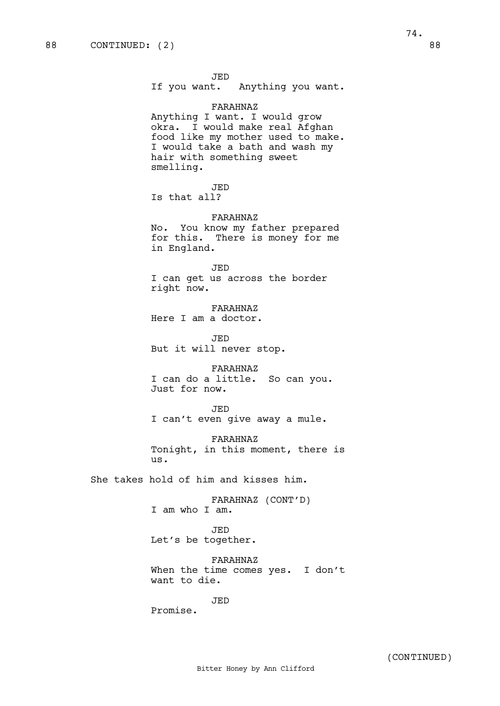If you want. Anything you want.

#### FARAHNAZ

Anything I want. I would grow okra. I would make real Afghan food like my mother used to make. I would take a bath and wash my hair with something sweet smelling.

JED

Is that all?

## FARAHNAZ

No. You know my father prepared for this. There is money for me in England.

JED I can get us across the border right now.

FARAHNAZ Here I am a doctor.

JED But it will never stop.

FARAHNAZ I can do a little. So can you. Just for now.

JED I can't even give away a mule.

FARAHNAZ Tonight, in this moment, there is us.

She takes hold of him and kisses him.

FARAHNAZ (CONT'D) I am who I am.

JED Let's be together.

FARAHNAZ When the time comes yes. I don't want to die.

JED

Promise.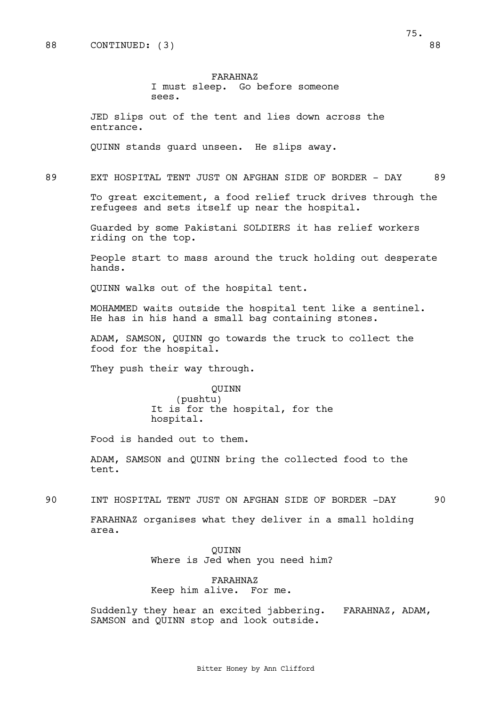# FARAHNAZ

#### I must sleep. Go before someone sees.

JED slips out of the tent and lies down across the entrance.

QUINN stands guard unseen. He slips away.

89 EXT HOSPITAL TENT JUST ON AFGHAN SIDE OF BORDER - DAY 89

To great excitement, a food relief truck drives through the refugees and sets itself up near the hospital.

Guarded by some Pakistani SOLDIERS it has relief workers riding on the top.

People start to mass around the truck holding out desperate hands.

QUINN walks out of the hospital tent.

MOHAMMED waits outside the hospital tent like a sentinel. He has in his hand a small bag containing stones.

ADAM, SAMSON, QUINN go towards the truck to collect the food for the hospital.

They push their way through.

QUINN (pushtu) It is for the hospital, for the hospital.

Food is handed out to them.

ADAM, SAMSON and QUINN bring the collected food to the tent.

90 INT HOSPITAL TENT JUST ON AFGHAN SIDE OF BORDER -DAY 90

FARAHNAZ organises what they deliver in a small holding area.

> QUINN Where is Jed when you need him?

FARAHNAZ Keep him alive. For me.

Suddenly they hear an excited jabbering. FARAHNAZ, ADAM, SAMSON and QUINN stop and look outside.

75.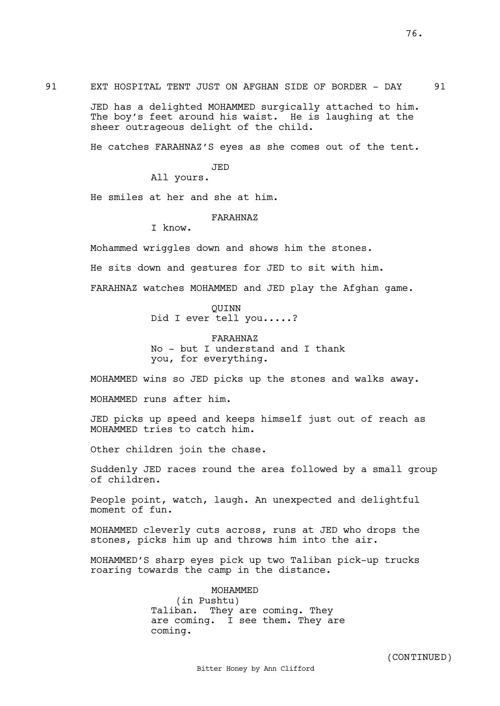91 EXT HOSPITAL TENT JUST ON AFGHAN SIDE OF BORDER - DAY 91

JED has a delighted MOHAMMED surgically attached to him. The boy's feet around his waist. He is laughing at the sheer outrageous delight of the child.

He catches FARAHNAZ'S eyes as she comes out of the tent.

JED

All yours.

He smiles at her and she at him.

FARAHNAZ

I know.

Mohammed wriggles down and shows him the stones.

He sits down and gestures for JED to sit with him.

FARAHNAZ watches MOHAMMED and JED play the Afghan game.

QUINN Did I ever tell you.....?

FARAHNAZ No - but I understand and I thank you, for everything.

MOHAMMED wins so JED picks up the stones and walks away.

MOHAMMED runs after him.

JED picks up speed and keeps himself just out of reach as MOHAMMED tries to catch him.

Other children join the chase.

Suddenly JED races round the area followed by a small group of children.

People point, watch, laugh. An unexpected and delightful moment of fun.

MOHAMMED cleverly cuts across, runs at JED who drops the stones, picks him up and throws him into the air.

MOHAMMED'S sharp eyes pick up two Taliban pick-up trucks roaring towards the camp in the distance.

MOHAMMED

(in Pushtu) Taliban. They are coming. They are coming. I see them. They are coming.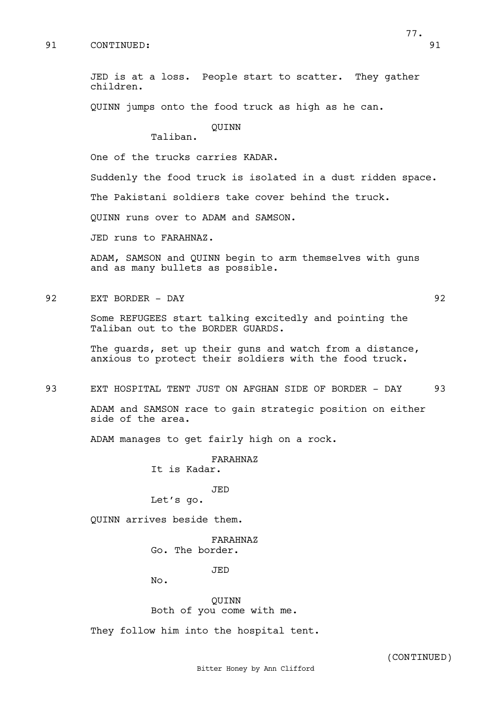JED is at a loss. People start to scatter. They gather children.

QUINN jumps onto the food truck as high as he can.

QUINN

Taliban.

One of the trucks carries KADAR.

Suddenly the food truck is isolated in a dust ridden space.

The Pakistani soldiers take cover behind the truck.

QUINN runs over to ADAM and SAMSON.

JED runs to FARAHNAZ.

ADAM, SAMSON and QUINN begin to arm themselves with guns and as many bullets as possible.

92 EXT BORDER - DAY 92

Some REFUGEES start talking excitedly and pointing the Taliban out to the BORDER GUARDS.

The guards, set up their guns and watch from a distance, anxious to protect their soldiers with the food truck.

93 EXT HOSPITAL TENT JUST ON AFGHAN SIDE OF BORDER - DAY 93

ADAM and SAMSON race to gain strategic position on either side of the area.

ADAM manages to get fairly high on a rock.

FARAHNAZ It is Kadar.

#### JED

Let's go.

QUINN arrives beside them.

FARAHNAZ Go. The border.

JED

No.

QUINN Both of you come with me.

They follow him into the hospital tent.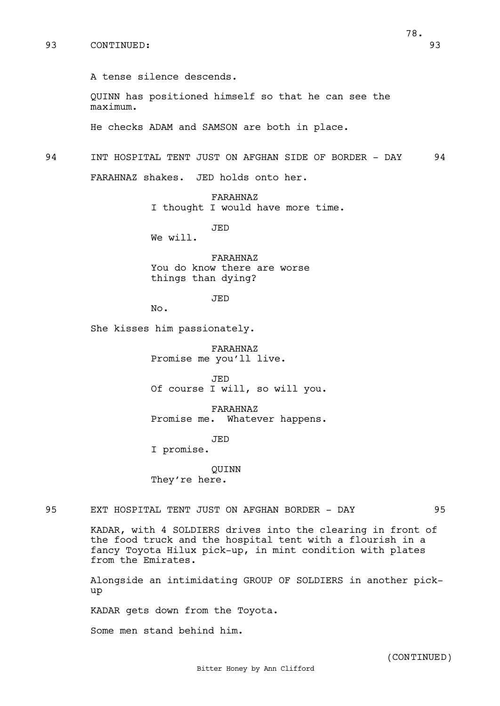A tense silence descends.

QUINN has positioned himself so that he can see the maximum.

He checks ADAM and SAMSON are both in place.

94 INT HOSPITAL TENT JUST ON AFGHAN SIDE OF BORDER - DAY 94

FARAHNAZ shakes. JED holds onto her.

FARAHNAZ I thought I would have more time.

JED

We will.

FARAHNAZ You do know there are worse things than dying?

JED

No.

She kisses him passionately.

FARAHNAZ Promise me you'll live.

JED Of course I will, so will you.

FARAHNAZ Promise me. Whatever happens.

JED

I promise.

QUINN They're here.

95 EXT HOSPITAL TENT JUST ON AFGHAN BORDER - DAY 95

KADAR, with 4 SOLDIERS drives into the clearing in front of the food truck and the hospital tent with a flourish in a fancy Toyota Hilux pick-up, in mint condition with plates from the Emirates.

Alongside an intimidating GROUP OF SOLDIERS in another pickup

KADAR gets down from the Toyota.

Some men stand behind him.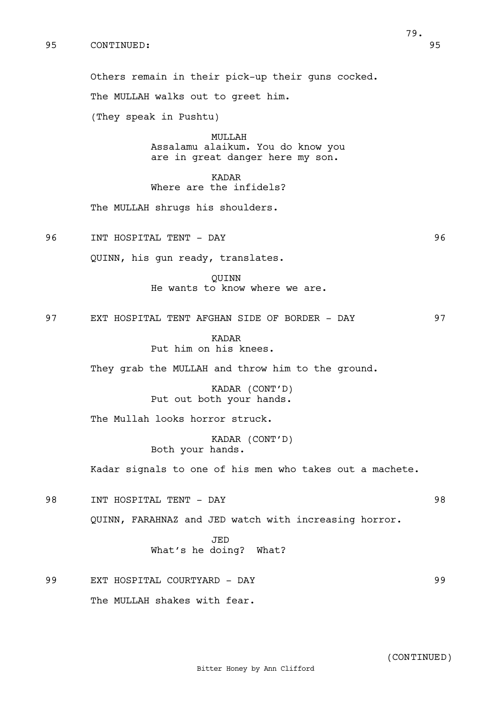Others remain in their pick-up their guns cocked.

The MULLAH walks out to greet him.

(They speak in Pushtu)

MULLAH Assalamu alaikum. You do know you are in great danger here my son.

KADAR Where are the infidels?

The MULLAH shrugs his shoulders.

96 INT HOSPITAL TENT - DAY 96

QUINN, his gun ready, translates.

QUINN He wants to know where we are.

97 EXT HOSPITAL TENT AFGHAN SIDE OF BORDER - DAY 97

KADAR Put him on his knees.

They grab the MULLAH and throw him to the ground.

KADAR (CONT'D) Put out both your hands.

The Mullah looks horror struck.

KADAR (CONT'D) Both your hands.

Kadar signals to one of his men who takes out a machete.

98 INT HOSPITAL TENT - DAY 98

QUINN, FARAHNAZ and JED watch with increasing horror.

JED What's he doing? What?

99 EXT HOSPITAL COURTYARD - DAY 99 The MULLAH shakes with fear.

79.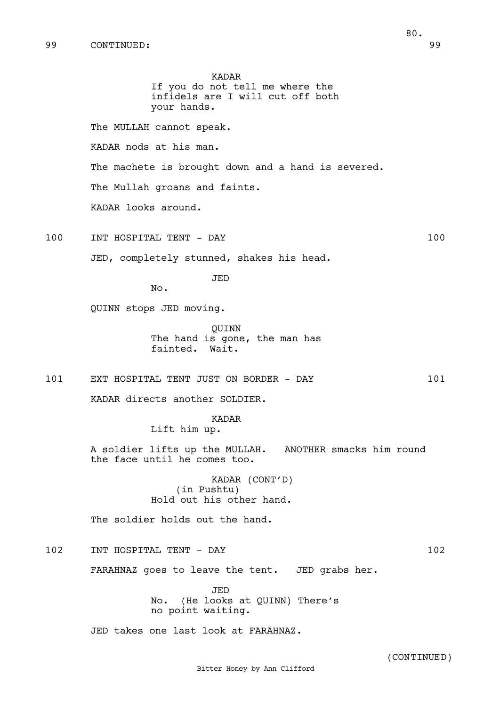your hands. The MULLAH cannot speak. KADAR nods at his man. The machete is brought down and a hand is severed. The Mullah groans and faints. KADAR looks around. 100 INT HOSPITAL TENT - DAY 100 JED, completely stunned, shakes his head. JED No. QUINN stops JED moving. QUINN The hand is gone, the man has fainted. Wait. 101 EXT HOSPITAL TENT JUST ON BORDER - DAY 101 KADAR directs another SOLDIER. KADAR Lift him up. A soldier lifts up the MULLAH. ANOTHER smacks him round the face until he comes too. KADAR (CONT'D) (in Pushtu) Hold out his other hand. The soldier holds out the hand. 102 INT HOSPITAL TENT - DAY 102 FARAHNAZ goes to leave the tent. JED grabs her. JED No. (He looks at QUINN) There's no point waiting. JED takes one last look at FARAHNAZ. Bitter Honey by Ann Clifford (CONTINUED)

KADAR

If you do not tell me where the infidels are I will cut off both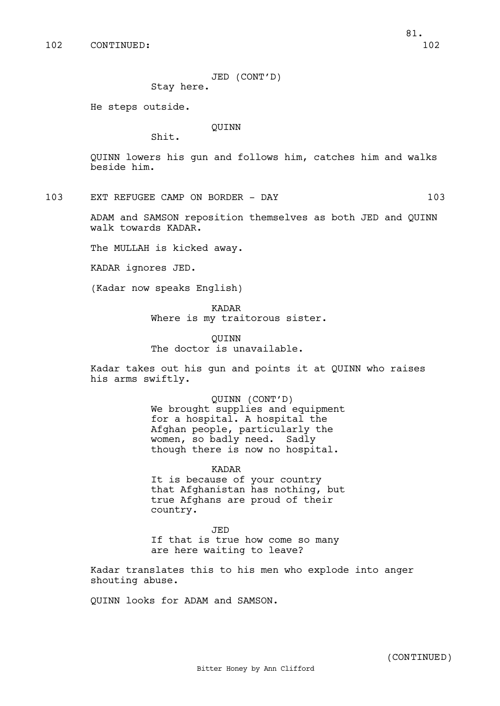JED (CONT'D)

Stay here.

He steps outside.

#### QUINN

Shit.

QUINN lowers his gun and follows him, catches him and walks beside him.

103 EXT REFUGEE CAMP ON BORDER - DAY 103

ADAM and SAMSON reposition themselves as both JED and QUINN walk towards KADAR.

The MULLAH is kicked away.

KADAR ignores JED.

(Kadar now speaks English)

KADAR Where is my traitorous sister.

QUINN The doctor is unavailable.

Kadar takes out his gun and points it at QUINN who raises his arms swiftly.

> QUINN (CONT'D) We brought supplies and equipment for a hospital. A hospital the Afghan people, particularly the women, so badly need. Sadly though there is now no hospital.

KADAR It is because of your country that Afghanistan has nothing, but true Afghans are proud of their country.

JED If that is true how come so many are here waiting to leave?

Kadar translates this to his men who explode into anger shouting abuse.

QUINN looks for ADAM and SAMSON.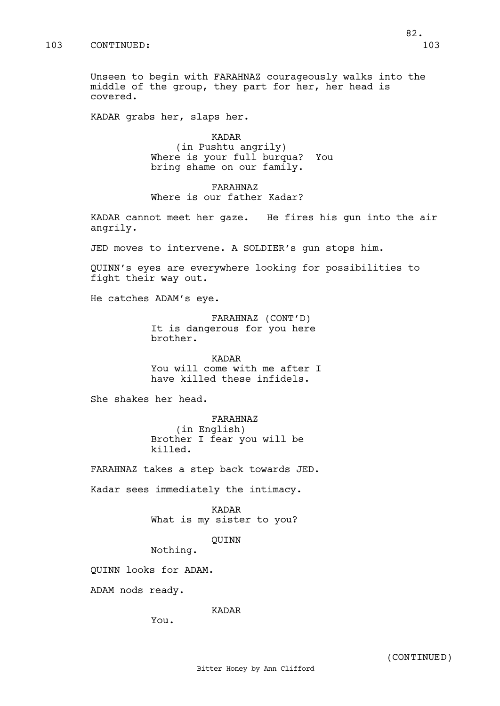Unseen to begin with FARAHNAZ courageously walks into the middle of the group, they part for her, her head is covered.

KADAR grabs her, slaps her.

KADAR (in Pushtu angrily) Where is your full burqua? You bring shame on our family.

FARAHNAZ Where is our father Kadar?

KADAR cannot meet her gaze. He fires his gun into the air angrily.

JED moves to intervene. A SOLDIER's gun stops him.

QUINN's eyes are everywhere looking for possibilities to fight their way out.

He catches ADAM's eye.

FARAHNAZ (CONT'D) It is dangerous for you here brother.

KADAR You will come with me after I have killed these infidels.

She shakes her head.

FARAHNAZ (in English) Brother I fear you will be killed.

FARAHNAZ takes a step back towards JED.

Kadar sees immediately the intimacy.

KADAR What is my sister to you?

QUINN

Nothing.

QUINN looks for ADAM.

ADAM nods ready.

KADAR

You.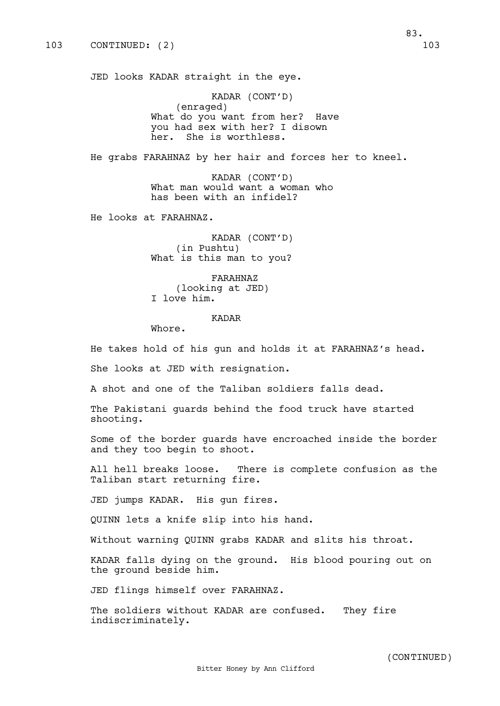JED looks KADAR straight in the eye.

KADAR (CONT'D) (enraged) What do you want from her? Have you had sex with her? I disown her. She is worthless.

He grabs FARAHNAZ by her hair and forces her to kneel.

KADAR (CONT'D) What man would want a woman who has been with an infidel?

He looks at FARAHNAZ.

KADAR (CONT'D) (in Pushtu) What is this man to you?

FARAHNAZ (looking at JED) I love him.

#### KADAR

Whore.

He takes hold of his gun and holds it at FARAHNAZ's head.

She looks at JED with resignation.

A shot and one of the Taliban soldiers falls dead.

The Pakistani guards behind the food truck have started shooting.

Some of the border guards have encroached inside the border and they too begin to shoot.

All hell breaks loose. There is complete confusion as the Taliban start returning fire.

JED jumps KADAR. His gun fires.

QUINN lets a knife slip into his hand.

Without warning QUINN grabs KADAR and slits his throat.

KADAR falls dying on the ground. His blood pouring out on the ground beside him.

JED flings himself over FARAHNAZ.

The soldiers without KADAR are confused. They fire indiscriminately.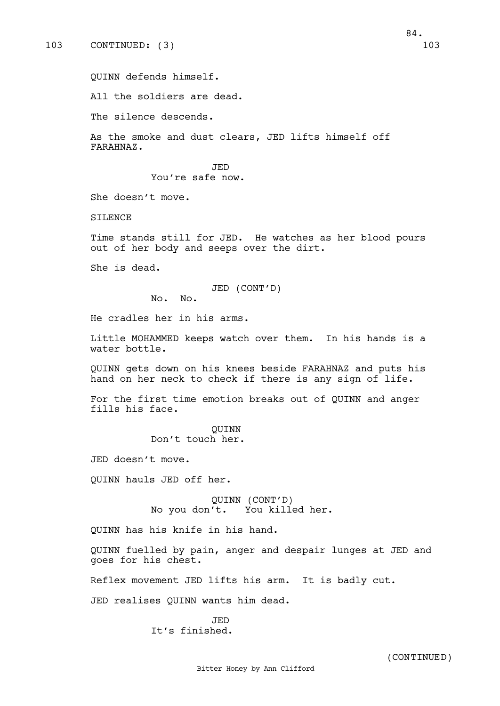QUINN defends himself.

All the soldiers are dead.

The silence descends.

As the smoke and dust clears, JED lifts himself off FARAHNAZ.

> JED You're safe now.

She doesn't move.

SILENCE

Time stands still for JED. He watches as her blood pours out of her body and seeps over the dirt.

She is dead.

JED (CONT'D)

No. No.

He cradles her in his arms.

Little MOHAMMED keeps watch over them. In his hands is a water bottle.

QUINN gets down on his knees beside FARAHNAZ and puts his hand on her neck to check if there is any sign of life.

For the first time emotion breaks out of QUINN and anger fills his face.

> QUINN Don't touch her.

JED doesn't move.

QUINN hauls JED off her.

QUINN (CONT'D) No you don't. You killed her.

QUINN has his knife in his hand.

QUINN fuelled by pain, anger and despair lunges at JED and goes for his chest.

Reflex movement JED lifts his arm. It is badly cut.

JED realises QUINN wants him dead.

JED It's finished.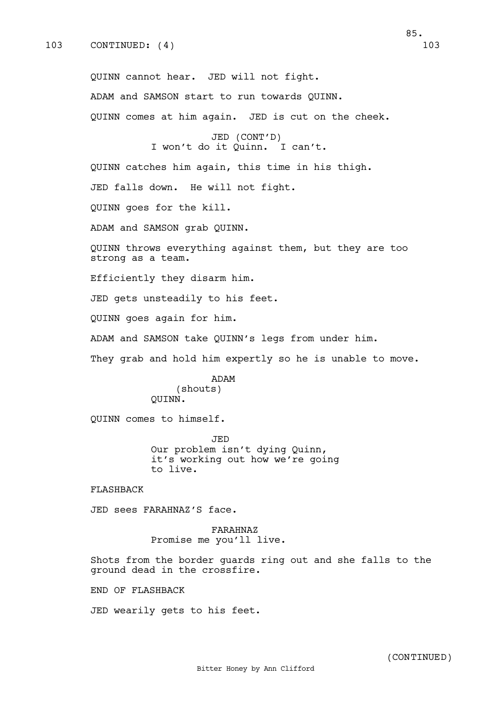85.

QUINN cannot hear. JED will not fight. ADAM and SAMSON start to run towards QUINN. QUINN comes at him again. JED is cut on the cheek. JED (CONT'D) I won't do it Quinn. I can't. QUINN catches him again, this time in his thigh. JED falls down. He will not fight. QUINN goes for the kill. ADAM and SAMSON grab QUINN. QUINN throws everything against them, but they are too strong as a team. Efficiently they disarm him. JED gets unsteadily to his feet. QUINN goes again for him. ADAM and SAMSON take QUINN's legs from under him. They grab and hold him expertly so he is unable to move. ADAM (shouts) QUINN. QUINN comes to himself.

> JED Our problem isn't dying Quinn, it's working out how we're going to live.

FLASHBACK

JED sees FARAHNAZ'S face.

FARAHNAZ Promise me you'll live.

Shots from the border guards ring out and she falls to the ground dead in the crossfire.

END OF FLASHBACK

JED wearily gets to his feet.

(CONTINUED)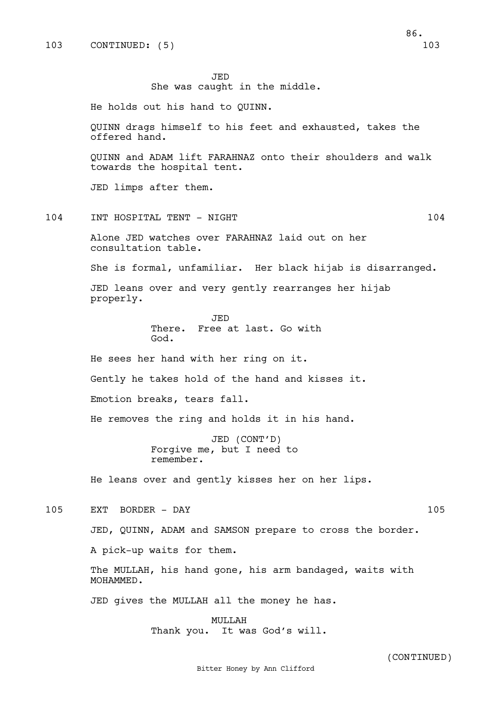JED

She was caught in the middle.

He holds out his hand to QUINN.

QUINN drags himself to his feet and exhausted, takes the offered hand.

QUINN and ADAM lift FARAHNAZ onto their shoulders and walk towards the hospital tent.

JED limps after them.

104 INT HOSPITAL TENT - NIGHT 104 104

Alone JED watches over FARAHNAZ laid out on her consultation table.

She is formal, unfamiliar. Her black hijab is disarranged.

JED leans over and very gently rearranges her hijab properly.

> JED There. Free at last. Go with God.

He sees her hand with her ring on it.

Gently he takes hold of the hand and kisses it.

Emotion breaks, tears fall.

He removes the ring and holds it in his hand.

JED (CONT'D) Forgive me, but I need to remember.

He leans over and gently kisses her on her lips.

105 EXT BORDER - DAY 105

JED, QUINN, ADAM and SAMSON prepare to cross the border.

A pick-up waits for them.

The MULLAH, his hand gone, his arm bandaged, waits with MOHAMMED.

JED gives the MULLAH all the money he has.

MULLAH Thank you. It was God's will.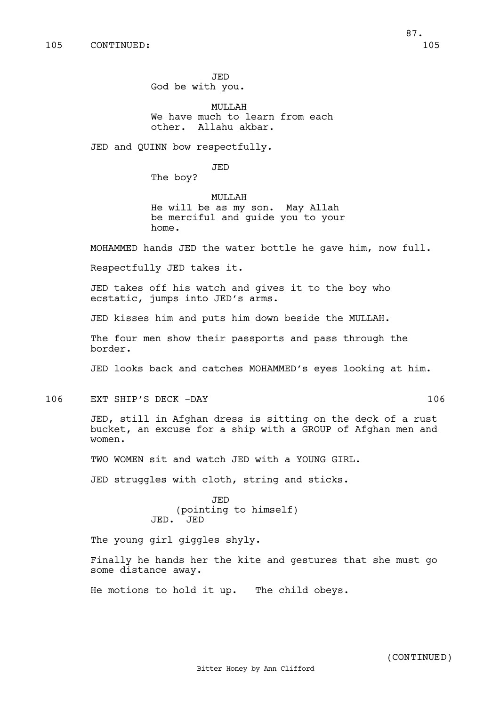JED God be with you.

MULLAH We have much to learn from each other. Allahu akbar.

JED and QUINN bow respectfully.

JED

The boy?

MULLAH He will be as my son. May Allah be merciful and guide you to your home.

MOHAMMED hands JED the water bottle he gave him, now full.

Respectfully JED takes it.

JED takes off his watch and gives it to the boy who ecstatic, jumps into JED's arms.

JED kisses him and puts him down beside the MULLAH.

The four men show their passports and pass through the border.

JED looks back and catches MOHAMMED's eyes looking at him.

106 EXT SHIP'S DECK -DAY 106

JED, still in Afghan dress is sitting on the deck of a rust bucket, an excuse for a ship with a GROUP of Afghan men and women.

TWO WOMEN sit and watch JED with a YOUNG GIRL.

JED struggles with cloth, string and sticks.

JED (pointing to himself) JED. JED

The young girl giggles shyly.

Finally he hands her the kite and gestures that she must go some distance away.

He motions to hold it up. The child obeys.

(CONTINUED)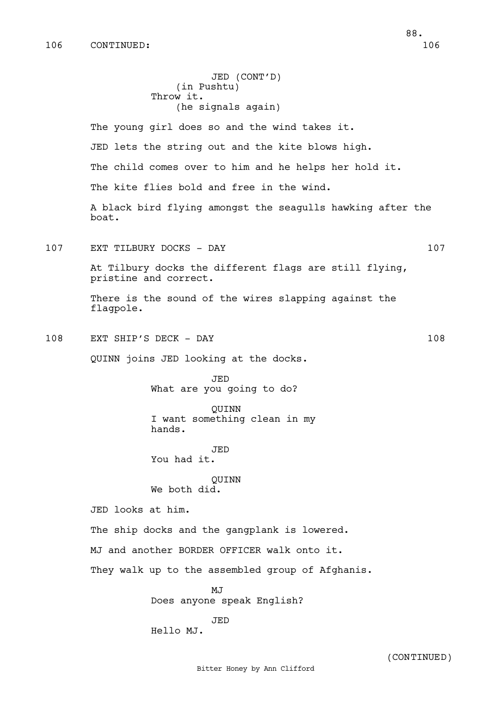JED (CONT'D) (in Pushtu) Throw it. (he signals again) The young girl does so and the wind takes it. JED lets the string out and the kite blows high. The child comes over to him and he helps her hold it. The kite flies bold and free in the wind. A black bird flying amongst the seagulls hawking after the boat. 107 EXT TILBURY DOCKS - DAY 107 At Tilbury docks the different flags are still flying, pristine and correct. There is the sound of the wires slapping against the flagpole. 108 EXT SHIP'S DECK - DAY 108 QUINN joins JED looking at the docks. JED What are you going to do? QUINN I want something clean in my hands. JED You had it. QUINN We both did. JED looks at him. The ship docks and the gangplank is lowered. MJ and another BORDER OFFICER walk onto it. They walk up to the assembled group of Afghanis. MJ Does anyone speak English? JED Hello MJ.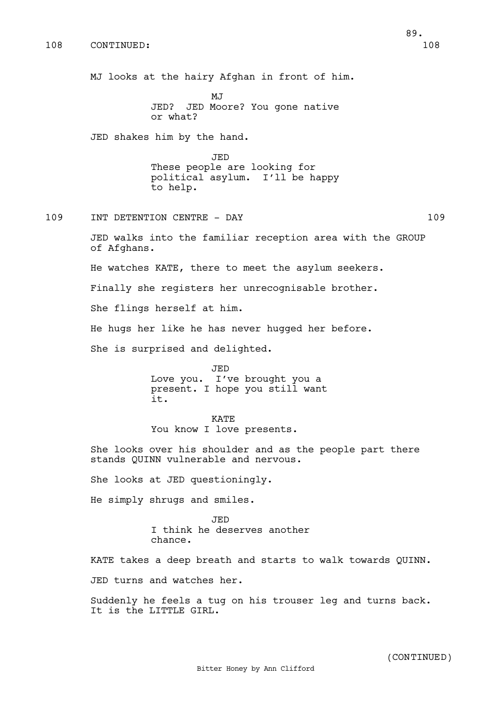MJ looks at the hairy Afghan in front of him.

**MJ** JED? JED Moore? You gone native or what?

JED shakes him by the hand.

JED These people are looking for political asylum. I'll be happy to help.

109 INT DETENTION CENTRE - DAY 109

JED walks into the familiar reception area with the GROUP of Afghans.

He watches KATE, there to meet the asylum seekers.

Finally she registers her unrecognisable brother.

She flings herself at him.

He hugs her like he has never hugged her before.

She is surprised and delighted.

JED Love you. I've brought you a present. I hope you still want it.

KATE You know I love presents.

She looks over his shoulder and as the people part there stands QUINN vulnerable and nervous.

She looks at JED questioningly.

He simply shrugs and smiles.

JED I think he deserves another chance.

KATE takes a deep breath and starts to walk towards QUINN. JED turns and watches her.

Suddenly he feels a tug on his trouser leg and turns back. It is the LITTLE GIRL.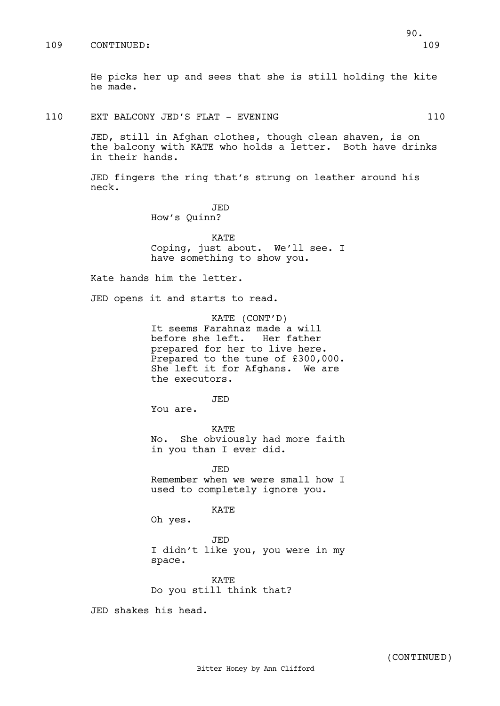He picks her up and sees that she is still holding the kite he made.

## 110 EXT BALCONY JED'S FLAT - EVENING 110

JED, still in Afghan clothes, though clean shaven, is on the balcony with KATE who holds a letter. Both have drinks in their hands.

JED fingers the ring that's strung on leather around his neck.

> JED How's Quinn?

KATE Coping, just about. We'll see. I have something to show you.

Kate hands him the letter.

JED opens it and starts to read.

KATE (CONT'D) It seems Farahnaz made a will before she left. Her father prepared for her to live here. Prepared to the tune of £300,000. She left it for Afghans. We are the executors.

JED

You are.

KATE No. She obviously had more faith in you than I ever did.

JED Remember when we were small how I used to completely ignore you.

KATE

Oh yes.

JED

I didn't like you, you were in my space.

KATE Do you still think that?

JED shakes his head.